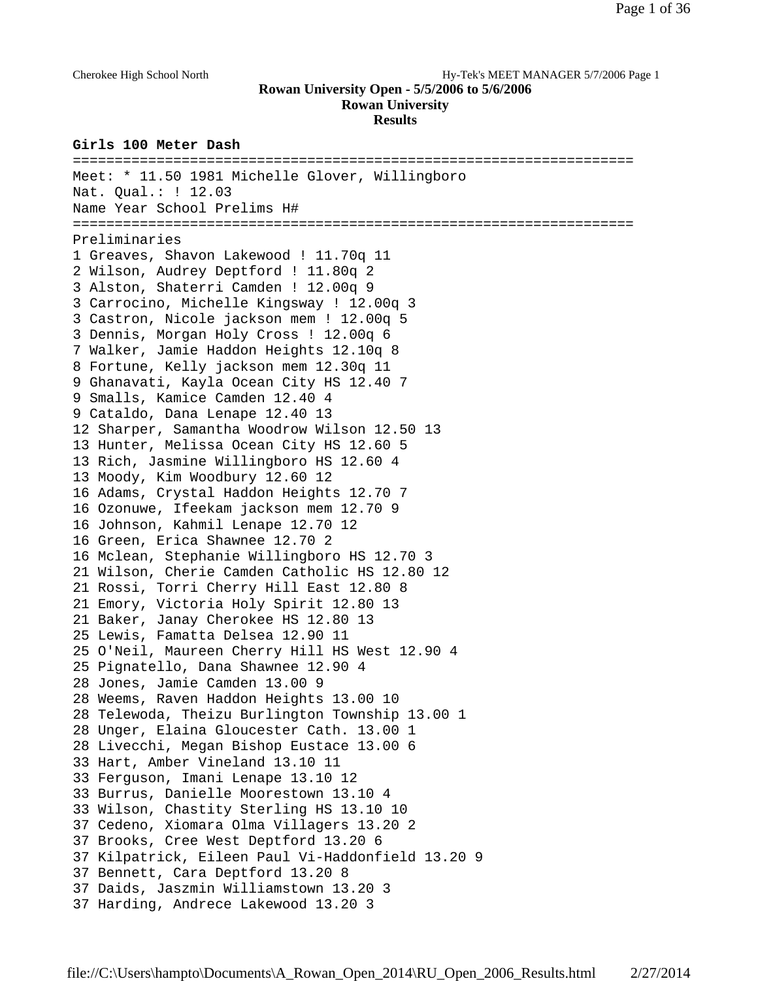### Cherokee High School North Hy-Tek's MEET MANAGER 5/7/2006 Page 1

## **Rowan University Open - 5/5/2006 to 5/6/2006 Rowan University**

**Results**

### **Girls 100 Meter Dash**

=================================================================== Meet: \* 11.50 1981 Michelle Glover, Willingboro Nat. Qual.: ! 12.03 Name Year School Prelims H# =================================================================== Preliminaries 1 Greaves, Shavon Lakewood ! 11.70q 11 2 Wilson, Audrey Deptford ! 11.80q 2 3 Alston, Shaterri Camden ! 12.00q 9 3 Carrocino, Michelle Kingsway ! 12.00q 3 3 Castron, Nicole jackson mem ! 12.00q 5 3 Dennis, Morgan Holy Cross ! 12.00q 6 7 Walker, Jamie Haddon Heights 12.10q 8 8 Fortune, Kelly jackson mem 12.30q 11 9 Ghanavati, Kayla Ocean City HS 12.40 7 9 Smalls, Kamice Camden 12.40 4 9 Cataldo, Dana Lenape 12.40 13 12 Sharper, Samantha Woodrow Wilson 12.50 13 13 Hunter, Melissa Ocean City HS 12.60 5 13 Rich, Jasmine Willingboro HS 12.60 4 13 Moody, Kim Woodbury 12.60 12 16 Adams, Crystal Haddon Heights 12.70 7 16 Ozonuwe, Ifeekam jackson mem 12.70 9 16 Johnson, Kahmil Lenape 12.70 12 16 Green, Erica Shawnee 12.70 2 16 Mclean, Stephanie Willingboro HS 12.70 3 21 Wilson, Cherie Camden Catholic HS 12.80 12 21 Rossi, Torri Cherry Hill East 12.80 8 21 Emory, Victoria Holy Spirit 12.80 13 21 Baker, Janay Cherokee HS 12.80 13 25 Lewis, Famatta Delsea 12.90 11 25 O'Neil, Maureen Cherry Hill HS West 12.90 4 25 Pignatello, Dana Shawnee 12.90 4 28 Jones, Jamie Camden 13.00 9 28 Weems, Raven Haddon Heights 13.00 10 28 Telewoda, Theizu Burlington Township 13.00 1 28 Unger, Elaina Gloucester Cath. 13.00 1 28 Livecchi, Megan Bishop Eustace 13.00 6 33 Hart, Amber Vineland 13.10 11 33 Ferguson, Imani Lenape 13.10 12 33 Burrus, Danielle Moorestown 13.10 4 33 Wilson, Chastity Sterling HS 13.10 10 37 Cedeno, Xiomara Olma Villagers 13.20 2 37 Brooks, Cree West Deptford 13.20 6 37 Kilpatrick, Eileen Paul Vi-Haddonfield 13.20 9 37 Bennett, Cara Deptford 13.20 8 37 Daids, Jaszmin Williamstown 13.20 3 37 Harding, Andrece Lakewood 13.20 3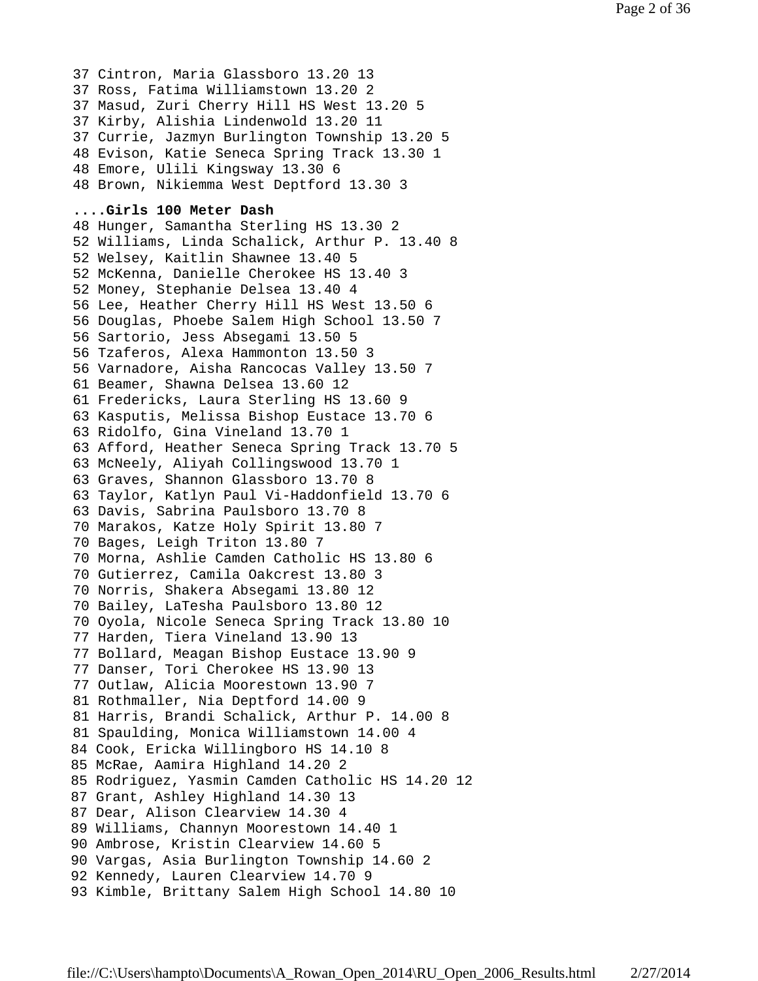37 Cintron, Maria Glassboro 13.20 13 37 Ross, Fatima Williamstown 13.20 2 37 Masud, Zuri Cherry Hill HS West 13.20 5 37 Kirby, Alishia Lindenwold 13.20 11 37 Currie, Jazmyn Burlington Township 13.20 5 48 Evison, Katie Seneca Spring Track 13.30 1 48 Emore, Ulili Kingsway 13.30 6 48 Brown, Nikiemma West Deptford 13.30 3 **....Girls 100 Meter Dash** 48 Hunger, Samantha Sterling HS 13.30 2 52 Williams, Linda Schalick, Arthur P. 13.40 8 52 Welsey, Kaitlin Shawnee 13.40 5 52 McKenna, Danielle Cherokee HS 13.40 3 52 Money, Stephanie Delsea 13.40 4 56 Lee, Heather Cherry Hill HS West 13.50 6 56 Douglas, Phoebe Salem High School 13.50 7 56 Sartorio, Jess Absegami 13.50 5 56 Tzaferos, Alexa Hammonton 13.50 3 56 Varnadore, Aisha Rancocas Valley 13.50 7 61 Beamer, Shawna Delsea 13.60 12 61 Fredericks, Laura Sterling HS 13.60 9 63 Kasputis, Melissa Bishop Eustace 13.70 6 63 Ridolfo, Gina Vineland 13.70 1 63 Afford, Heather Seneca Spring Track 13.70 5 63 McNeely, Aliyah Collingswood 13.70 1 63 Graves, Shannon Glassboro 13.70 8 63 Taylor, Katlyn Paul Vi-Haddonfield 13.70 6 63 Davis, Sabrina Paulsboro 13.70 8 70 Marakos, Katze Holy Spirit 13.80 7 70 Bages, Leigh Triton 13.80 7 70 Morna, Ashlie Camden Catholic HS 13.80 6 70 Gutierrez, Camila Oakcrest 13.80 3 70 Norris, Shakera Absegami 13.80 12 70 Bailey, LaTesha Paulsboro 13.80 12 70 Oyola, Nicole Seneca Spring Track 13.80 10 77 Harden, Tiera Vineland 13.90 13 77 Bollard, Meagan Bishop Eustace 13.90 9 77 Danser, Tori Cherokee HS 13.90 13 77 Outlaw, Alicia Moorestown 13.90 7 81 Rothmaller, Nia Deptford 14.00 9 81 Harris, Brandi Schalick, Arthur P. 14.00 8 81 Spaulding, Monica Williamstown 14.00 4 84 Cook, Ericka Willingboro HS 14.10 8 85 McRae, Aamira Highland 14.20 2 85 Rodriguez, Yasmin Camden Catholic HS 14.20 12 87 Grant, Ashley Highland 14.30 13 87 Dear, Alison Clearview 14.30 4 89 Williams, Channyn Moorestown 14.40 1 90 Ambrose, Kristin Clearview 14.60 5 90 Vargas, Asia Burlington Township 14.60 2 92 Kennedy, Lauren Clearview 14.70 9 93 Kimble, Brittany Salem High School 14.80 10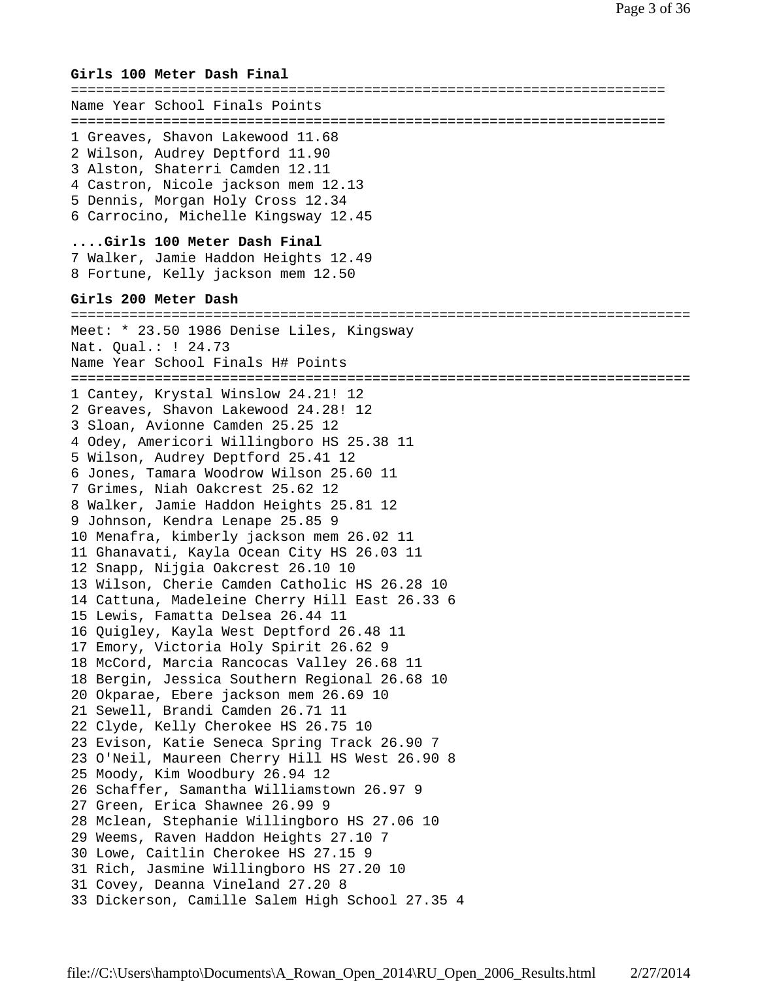### **Girls 100 Meter Dash Final**

======================================================================= Name Year School Finals Points ======================================================================= 1 Greaves, Shavon Lakewood 11.68 2 Wilson, Audrey Deptford 11.90 3 Alston, Shaterri Camden 12.11 4 Castron, Nicole jackson mem 12.13 5 Dennis, Morgan Holy Cross 12.34 6 Carrocino, Michelle Kingsway 12.45 **....Girls 100 Meter Dash Final** 7 Walker, Jamie Haddon Heights 12.49 8 Fortune, Kelly jackson mem 12.50 **Girls 200 Meter Dash** ========================================================================== Meet: \* 23.50 1986 Denise Liles, Kingsway Nat. Qual.: ! 24.73 Name Year School Finals H# Points ========================================================================== 1 Cantey, Krystal Winslow 24.21! 12 2 Greaves, Shavon Lakewood 24.28! 12 3 Sloan, Avionne Camden 25.25 12 4 Odey, Americori Willingboro HS 25.38 11 5 Wilson, Audrey Deptford 25.41 12 6 Jones, Tamara Woodrow Wilson 25.60 11 7 Grimes, Niah Oakcrest 25.62 12 8 Walker, Jamie Haddon Heights 25.81 12 9 Johnson, Kendra Lenape 25.85 9 10 Menafra, kimberly jackson mem 26.02 11 11 Ghanavati, Kayla Ocean City HS 26.03 11 12 Snapp, Nijgia Oakcrest 26.10 10 13 Wilson, Cherie Camden Catholic HS 26.28 10 14 Cattuna, Madeleine Cherry Hill East 26.33 6 15 Lewis, Famatta Delsea 26.44 11 16 Quigley, Kayla West Deptford 26.48 11 17 Emory, Victoria Holy Spirit 26.62 9 18 McCord, Marcia Rancocas Valley 26.68 11 18 Bergin, Jessica Southern Regional 26.68 10 20 Okparae, Ebere jackson mem 26.69 10 21 Sewell, Brandi Camden 26.71 11 22 Clyde, Kelly Cherokee HS 26.75 10 23 Evison, Katie Seneca Spring Track 26.90 7 23 O'Neil, Maureen Cherry Hill HS West 26.90 8 25 Moody, Kim Woodbury 26.94 12 26 Schaffer, Samantha Williamstown 26.97 9 27 Green, Erica Shawnee 26.99 9 28 Mclean, Stephanie Willingboro HS 27.06 10 29 Weems, Raven Haddon Heights 27.10 7 30 Lowe, Caitlin Cherokee HS 27.15 9 31 Rich, Jasmine Willingboro HS 27.20 10 31 Covey, Deanna Vineland 27.20 8 33 Dickerson, Camille Salem High School 27.35 4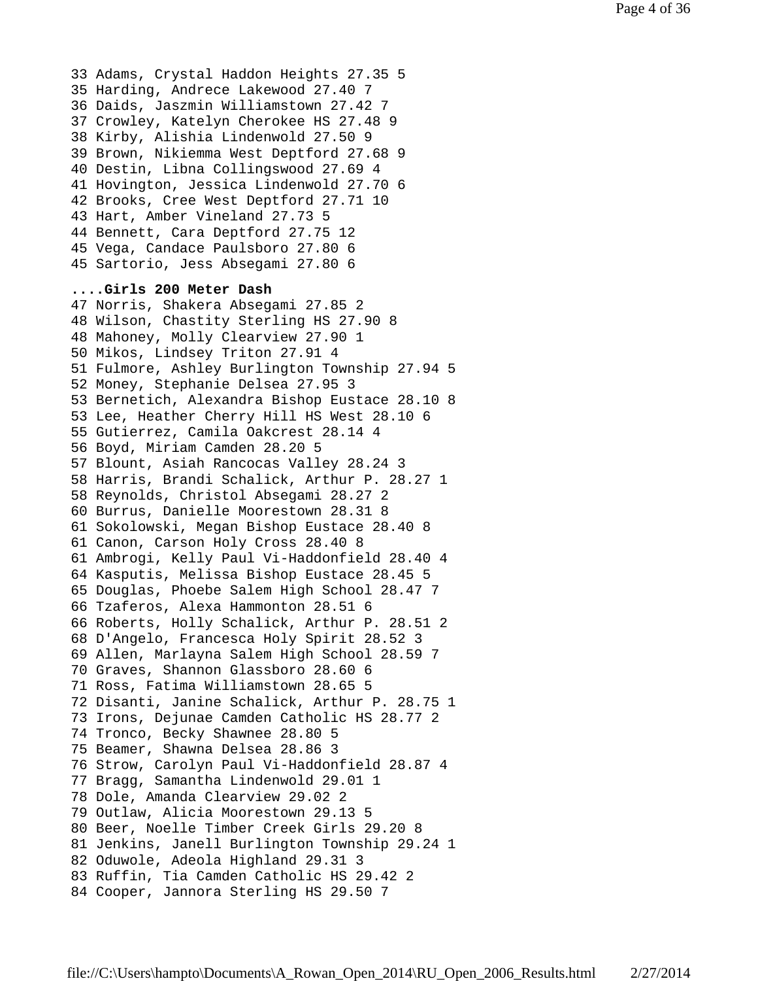33 Adams, Crystal Haddon Heights 27.35 5 35 Harding, Andrece Lakewood 27.40 7 36 Daids, Jaszmin Williamstown 27.42 7 37 Crowley, Katelyn Cherokee HS 27.48 9 38 Kirby, Alishia Lindenwold 27.50 9 39 Brown, Nikiemma West Deptford 27.68 9 40 Destin, Libna Collingswood 27.69 4 41 Hovington, Jessica Lindenwold 27.70 6 42 Brooks, Cree West Deptford 27.71 10 43 Hart, Amber Vineland 27.73 5 44 Bennett, Cara Deptford 27.75 12 45 Vega, Candace Paulsboro 27.80 6 45 Sartorio, Jess Absegami 27.80 6 **....Girls 200 Meter Dash** 47 Norris, Shakera Absegami 27.85 2 48 Wilson, Chastity Sterling HS 27.90 8 48 Mahoney, Molly Clearview 27.90 1 50 Mikos, Lindsey Triton 27.91 4 51 Fulmore, Ashley Burlington Township 27.94 5 52 Money, Stephanie Delsea 27.95 3 53 Bernetich, Alexandra Bishop Eustace 28.10 8 53 Lee, Heather Cherry Hill HS West 28.10 6 55 Gutierrez, Camila Oakcrest 28.14 4 56 Boyd, Miriam Camden 28.20 5 57 Blount, Asiah Rancocas Valley 28.24 3 58 Harris, Brandi Schalick, Arthur P. 28.27 1 58 Reynolds, Christol Absegami 28.27 2 60 Burrus, Danielle Moorestown 28.31 8 61 Sokolowski, Megan Bishop Eustace 28.40 8 61 Canon, Carson Holy Cross 28.40 8 61 Ambrogi, Kelly Paul Vi-Haddonfield 28.40 4 64 Kasputis, Melissa Bishop Eustace 28.45 5 65 Douglas, Phoebe Salem High School 28.47 7 66 Tzaferos, Alexa Hammonton 28.51 6 66 Roberts, Holly Schalick, Arthur P. 28.51 2 68 D'Angelo, Francesca Holy Spirit 28.52 3 69 Allen, Marlayna Salem High School 28.59 7 70 Graves, Shannon Glassboro 28.60 6 71 Ross, Fatima Williamstown 28.65 5 72 Disanti, Janine Schalick, Arthur P. 28.75 1 73 Irons, Dejunae Camden Catholic HS 28.77 2 74 Tronco, Becky Shawnee 28.80 5 75 Beamer, Shawna Delsea 28.86 3 76 Strow, Carolyn Paul Vi-Haddonfield 28.87 4 77 Bragg, Samantha Lindenwold 29.01 1 78 Dole, Amanda Clearview 29.02 2 79 Outlaw, Alicia Moorestown 29.13 5 80 Beer, Noelle Timber Creek Girls 29.20 8 81 Jenkins, Janell Burlington Township 29.24 1 82 Oduwole, Adeola Highland 29.31 3 83 Ruffin, Tia Camden Catholic HS 29.42 2 84 Cooper, Jannora Sterling HS 29.50 7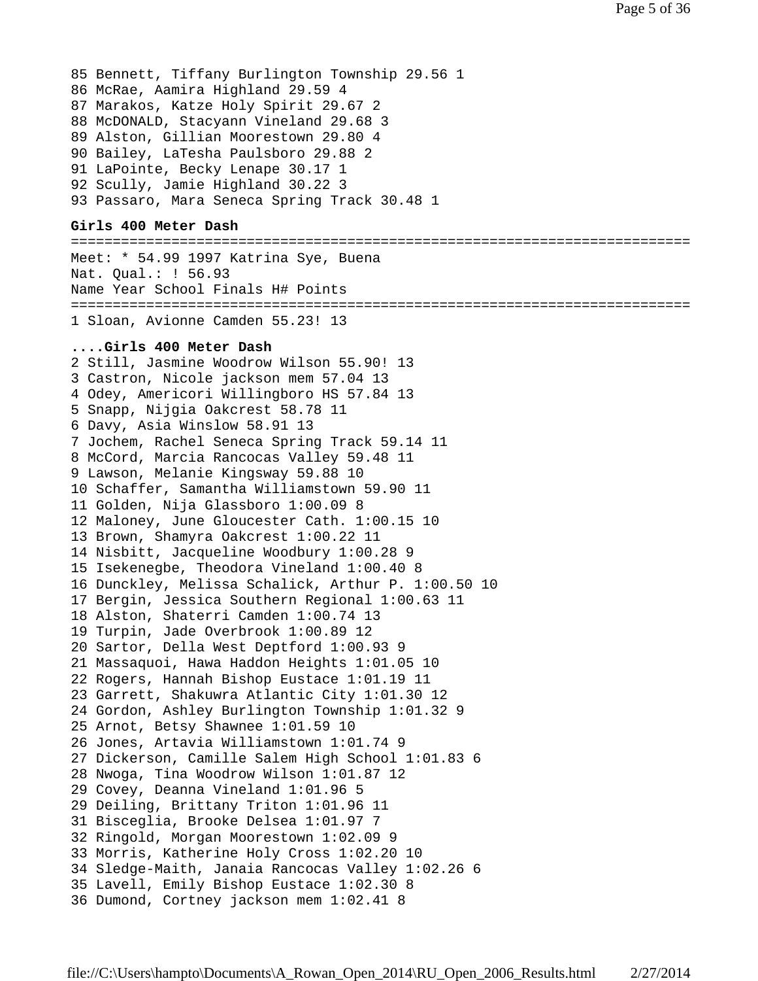85 Bennett, Tiffany Burlington Township 29.56 1 86 McRae, Aamira Highland 29.59 4 87 Marakos, Katze Holy Spirit 29.67 2 88 McDONALD, Stacyann Vineland 29.68 3 89 Alston, Gillian Moorestown 29.80 4 90 Bailey, LaTesha Paulsboro 29.88 2 91 LaPointe, Becky Lenape 30.17 1 92 Scully, Jamie Highland 30.22 3 93 Passaro, Mara Seneca Spring Track 30.48 1 **Girls 400 Meter Dash** ========================================================================== Meet: \* 54.99 1997 Katrina Sye, Buena Nat. Qual.: ! 56.93 Name Year School Finals H# Points ========================================================================== 1 Sloan, Avionne Camden 55.23! 13 **....Girls 400 Meter Dash** 2 Still, Jasmine Woodrow Wilson 55.90! 13 3 Castron, Nicole jackson mem 57.04 13 4 Odey, Americori Willingboro HS 57.84 13 5 Snapp, Nijgia Oakcrest 58.78 11 6 Davy, Asia Winslow 58.91 13 7 Jochem, Rachel Seneca Spring Track 59.14 11 8 McCord, Marcia Rancocas Valley 59.48 11 9 Lawson, Melanie Kingsway 59.88 10 10 Schaffer, Samantha Williamstown 59.90 11 11 Golden, Nija Glassboro 1:00.09 8 12 Maloney, June Gloucester Cath. 1:00.15 10 13 Brown, Shamyra Oakcrest 1:00.22 11 14 Nisbitt, Jacqueline Woodbury 1:00.28 9 15 Isekenegbe, Theodora Vineland 1:00.40 8 16 Dunckley, Melissa Schalick, Arthur P. 1:00.50 10 17 Bergin, Jessica Southern Regional 1:00.63 11 18 Alston, Shaterri Camden 1:00.74 13 19 Turpin, Jade Overbrook 1:00.89 12 20 Sartor, Della West Deptford 1:00.93 9 21 Massaquoi, Hawa Haddon Heights 1:01.05 10 22 Rogers, Hannah Bishop Eustace 1:01.19 11 23 Garrett, Shakuwra Atlantic City 1:01.30 12 24 Gordon, Ashley Burlington Township 1:01.32 9 25 Arnot, Betsy Shawnee 1:01.59 10 26 Jones, Artavia Williamstown 1:01.74 9 27 Dickerson, Camille Salem High School 1:01.83 6 28 Nwoga, Tina Woodrow Wilson 1:01.87 12 29 Covey, Deanna Vineland 1:01.96 5 29 Deiling, Brittany Triton 1:01.96 11 31 Bisceglia, Brooke Delsea 1:01.97 7 32 Ringold, Morgan Moorestown 1:02.09 9 33 Morris, Katherine Holy Cross 1:02.20 10 34 Sledge-Maith, Janaia Rancocas Valley 1:02.26 6 35 Lavell, Emily Bishop Eustace 1:02.30 8 36 Dumond, Cortney jackson mem 1:02.41 8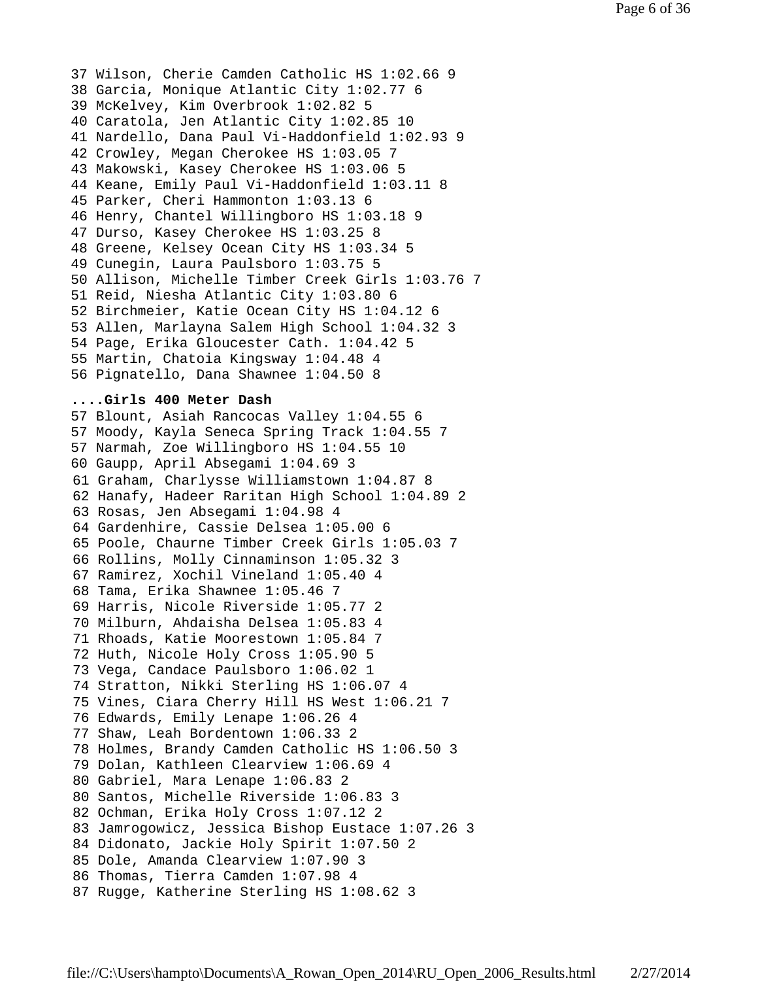37 Wilson, Cherie Camden Catholic HS 1:02.66 9 38 Garcia, Monique Atlantic City 1:02.77 6 39 McKelvey, Kim Overbrook 1:02.82 5 40 Caratola, Jen Atlantic City 1:02.85 10 41 Nardello, Dana Paul Vi-Haddonfield 1:02.93 9 42 Crowley, Megan Cherokee HS 1:03.05 7 43 Makowski, Kasey Cherokee HS 1:03.06 5 44 Keane, Emily Paul Vi-Haddonfield 1:03.11 8 45 Parker, Cheri Hammonton 1:03.13 6 46 Henry, Chantel Willingboro HS 1:03.18 9 47 Durso, Kasey Cherokee HS 1:03.25 8 48 Greene, Kelsey Ocean City HS 1:03.34 5 49 Cunegin, Laura Paulsboro 1:03.75 5 50 Allison, Michelle Timber Creek Girls 1:03.76 7 51 Reid, Niesha Atlantic City 1:03.80 6 52 Birchmeier, Katie Ocean City HS 1:04.12 6 53 Allen, Marlayna Salem High School 1:04.32 3 54 Page, Erika Gloucester Cath. 1:04.42 5 55 Martin, Chatoia Kingsway 1:04.48 4 56 Pignatello, Dana Shawnee 1:04.50 8

#### **....Girls 400 Meter Dash**

57 Blount, Asiah Rancocas Valley 1:04.55 6 57 Moody, Kayla Seneca Spring Track 1:04.55 7 57 Narmah, Zoe Willingboro HS 1:04.55 10 60 Gaupp, April Absegami 1:04.69 3 61 Graham, Charlysse Williamstown 1:04.87 8 62 Hanafy, Hadeer Raritan High School 1:04.89 2 63 Rosas, Jen Absegami 1:04.98 4 64 Gardenhire, Cassie Delsea 1:05.00 6 65 Poole, Chaurne Timber Creek Girls 1:05.03 7 66 Rollins, Molly Cinnaminson 1:05.32 3 67 Ramirez, Xochil Vineland 1:05.40 4 68 Tama, Erika Shawnee 1:05.46 7 69 Harris, Nicole Riverside 1:05.77 2 70 Milburn, Ahdaisha Delsea 1:05.83 4 71 Rhoads, Katie Moorestown 1:05.84 7 72 Huth, Nicole Holy Cross 1:05.90 5 73 Vega, Candace Paulsboro 1:06.02 1 74 Stratton, Nikki Sterling HS 1:06.07 4 75 Vines, Ciara Cherry Hill HS West 1:06.21 7 76 Edwards, Emily Lenape 1:06.26 4 77 Shaw, Leah Bordentown 1:06.33 2 78 Holmes, Brandy Camden Catholic HS 1:06.50 3 79 Dolan, Kathleen Clearview 1:06.69 4 80 Gabriel, Mara Lenape 1:06.83 2 80 Santos, Michelle Riverside 1:06.83 3 82 Ochman, Erika Holy Cross 1:07.12 2 83 Jamrogowicz, Jessica Bishop Eustace 1:07.26 3 84 Didonato, Jackie Holy Spirit 1:07.50 2 85 Dole, Amanda Clearview 1:07.90 3 86 Thomas, Tierra Camden 1:07.98 4 87 Rugge, Katherine Sterling HS 1:08.62 3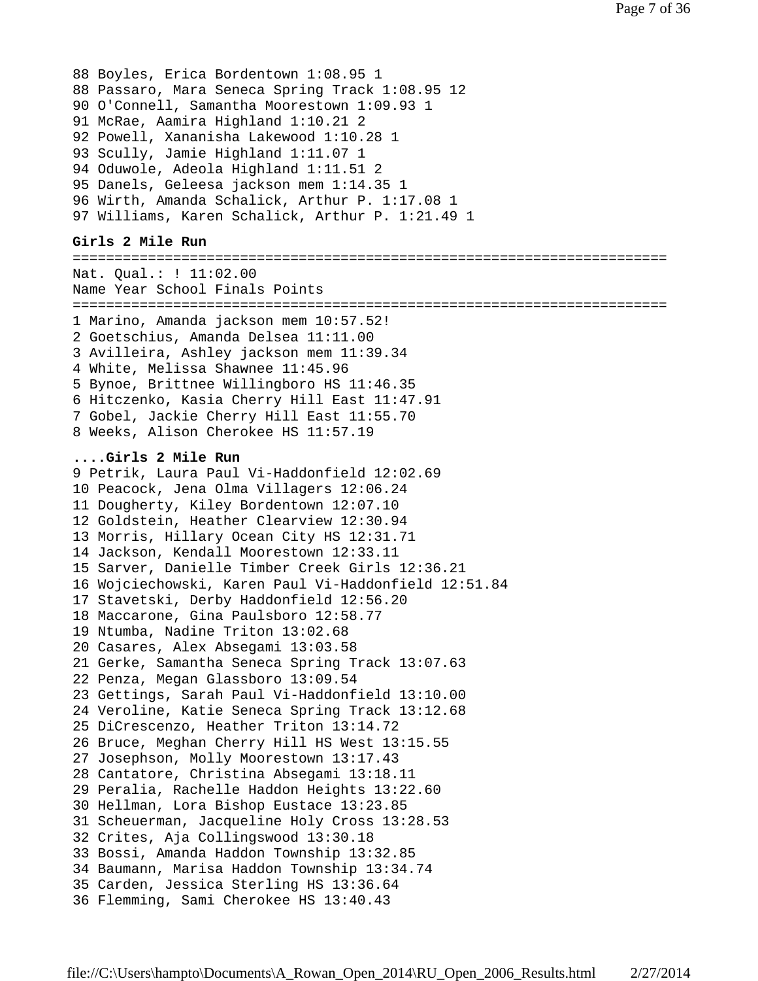```
88 Boyles, Erica Bordentown 1:08.95 1
88 Passaro, Mara Seneca Spring Track 1:08.95 12
90 O'Connell, Samantha Moorestown 1:09.93 1
91 McRae, Aamira Highland 1:10.21 2
92 Powell, Xananisha Lakewood 1:10.28 1
93 Scully, Jamie Highland 1:11.07 1
94 Oduwole, Adeola Highland 1:11.51 2
95 Danels, Geleesa jackson mem 1:14.35 1
96 Wirth, Amanda Schalick, Arthur P. 1:17.08 1
97 Williams, Karen Schalick, Arthur P. 1:21.49 1
```
### **Girls 2 Mile Run**

======================================================================= Nat. Qual.: ! 11:02.00 Name Year School Finals Points ======================================================================= 1 Marino, Amanda jackson mem 10:57.52! 2 Goetschius, Amanda Delsea 11:11.00 3 Avilleira, Ashley jackson mem 11:39.34 4 White, Melissa Shawnee 11:45.96 5 Bynoe, Brittnee Willingboro HS 11:46.35 6 Hitczenko, Kasia Cherry Hill East 11:47.91 7 Gobel, Jackie Cherry Hill East 11:55.70 8 Weeks, Alison Cherokee HS 11:57.19 **....Girls 2 Mile Run** 9 Petrik, Laura Paul Vi-Haddonfield 12:02.69 10 Peacock, Jena Olma Villagers 12:06.24 11 Dougherty, Kiley Bordentown 12:07.10 12 Goldstein, Heather Clearview 12:30.94 13 Morris, Hillary Ocean City HS 12:31.71 14 Jackson, Kendall Moorestown 12:33.11 15 Sarver, Danielle Timber Creek Girls 12:36.21 16 Wojciechowski, Karen Paul Vi-Haddonfield 12:51.84 17 Stavetski, Derby Haddonfield 12:56.20 18 Maccarone, Gina Paulsboro 12:58.77 19 Ntumba, Nadine Triton 13:02.68 20 Casares, Alex Absegami 13:03.58 21 Gerke, Samantha Seneca Spring Track 13:07.63 22 Penza, Megan Glassboro 13:09.54 23 Gettings, Sarah Paul Vi-Haddonfield 13:10.00 24 Veroline, Katie Seneca Spring Track 13:12.68 25 DiCrescenzo, Heather Triton 13:14.72 26 Bruce, Meghan Cherry Hill HS West 13:15.55 27 Josephson, Molly Moorestown 13:17.43 28 Cantatore, Christina Absegami 13:18.11 29 Peralia, Rachelle Haddon Heights 13:22.60 30 Hellman, Lora Bishop Eustace 13:23.85 31 Scheuerman, Jacqueline Holy Cross 13:28.53 32 Crites, Aja Collingswood 13:30.18 33 Bossi, Amanda Haddon Township 13:32.85 34 Baumann, Marisa Haddon Township 13:34.74 35 Carden, Jessica Sterling HS 13:36.64 36 Flemming, Sami Cherokee HS 13:40.43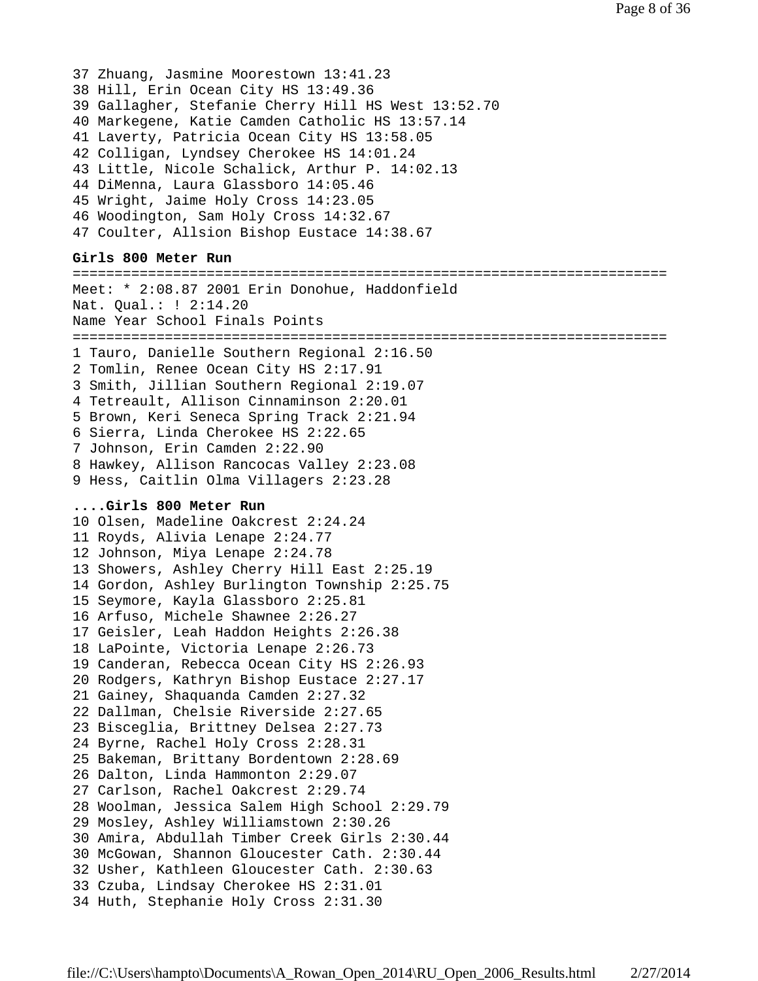37 Zhuang, Jasmine Moorestown 13:41.23 38 Hill, Erin Ocean City HS 13:49.36 39 Gallagher, Stefanie Cherry Hill HS West 13:52.70 40 Markegene, Katie Camden Catholic HS 13:57.14 41 Laverty, Patricia Ocean City HS 13:58.05 42 Colligan, Lyndsey Cherokee HS 14:01.24 43 Little, Nicole Schalick, Arthur P. 14:02.13 44 DiMenna, Laura Glassboro 14:05.46 45 Wright, Jaime Holy Cross 14:23.05 46 Woodington, Sam Holy Cross 14:32.67 47 Coulter, Allsion Bishop Eustace 14:38.67 **Girls 800 Meter Run** ======================================================================= Meet: \* 2:08.87 2001 Erin Donohue, Haddonfield Nat. Qual.: ! 2:14.20 Name Year School Finals Points =======================================================================

1 Tauro, Danielle Southern Regional 2:16.50 2 Tomlin, Renee Ocean City HS 2:17.91 3 Smith, Jillian Southern Regional 2:19.07 4 Tetreault, Allison Cinnaminson 2:20.01 5 Brown, Keri Seneca Spring Track 2:21.94 6 Sierra, Linda Cherokee HS 2:22.65 7 Johnson, Erin Camden 2:22.90 8 Hawkey, Allison Rancocas Valley 2:23.08 9 Hess, Caitlin Olma Villagers 2:23.28

#### **....Girls 800 Meter Run**

10 Olsen, Madeline Oakcrest 2:24.24 11 Royds, Alivia Lenape 2:24.77 12 Johnson, Miya Lenape 2:24.78 13 Showers, Ashley Cherry Hill East 2:25.19 14 Gordon, Ashley Burlington Township 2:25.75 15 Seymore, Kayla Glassboro 2:25.81 16 Arfuso, Michele Shawnee 2:26.27 17 Geisler, Leah Haddon Heights 2:26.38 18 LaPointe, Victoria Lenape 2:26.73 19 Canderan, Rebecca Ocean City HS 2:26.93 20 Rodgers, Kathryn Bishop Eustace 2:27.17 21 Gainey, Shaquanda Camden 2:27.32 22 Dallman, Chelsie Riverside 2:27.65 23 Bisceglia, Brittney Delsea 2:27.73 24 Byrne, Rachel Holy Cross 2:28.31 25 Bakeman, Brittany Bordentown 2:28.69 26 Dalton, Linda Hammonton 2:29.07 27 Carlson, Rachel Oakcrest 2:29.74 28 Woolman, Jessica Salem High School 2:29.79 29 Mosley, Ashley Williamstown 2:30.26 30 Amira, Abdullah Timber Creek Girls 2:30.44 30 McGowan, Shannon Gloucester Cath. 2:30.44 32 Usher, Kathleen Gloucester Cath. 2:30.63 33 Czuba, Lindsay Cherokee HS 2:31.01 34 Huth, Stephanie Holy Cross 2:31.30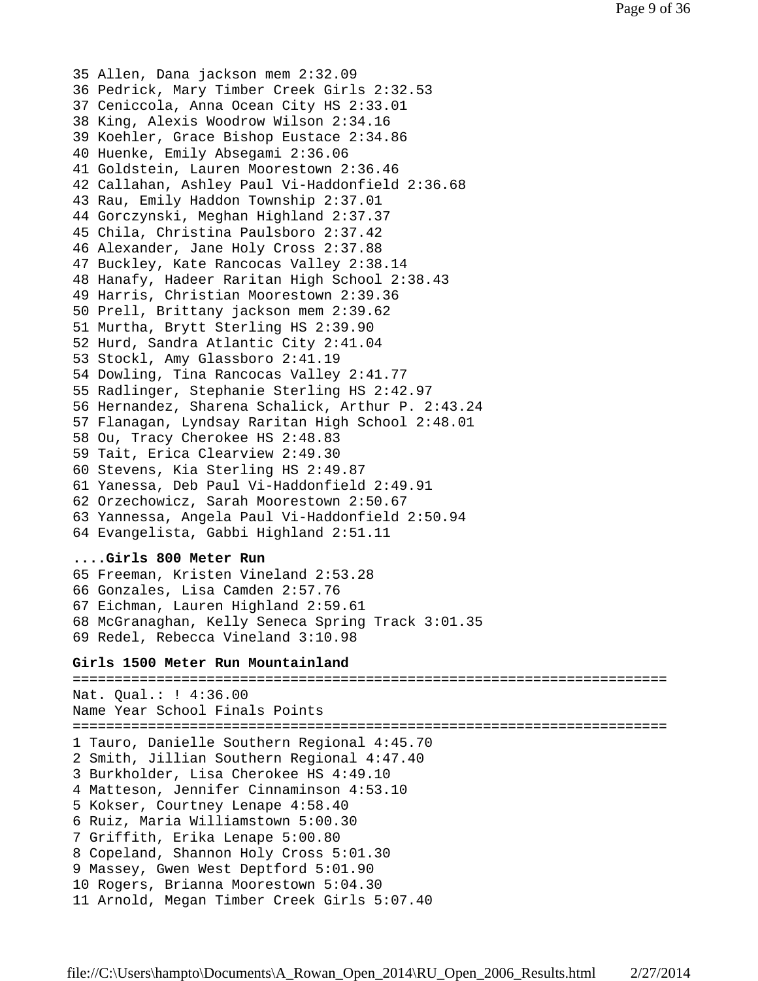35 Allen, Dana jackson mem 2:32.09 36 Pedrick, Mary Timber Creek Girls 2:32.53 37 Ceniccola, Anna Ocean City HS 2:33.01 38 King, Alexis Woodrow Wilson 2:34.16 39 Koehler, Grace Bishop Eustace 2:34.86 40 Huenke, Emily Absegami 2:36.06 41 Goldstein, Lauren Moorestown 2:36.46 42 Callahan, Ashley Paul Vi-Haddonfield 2:36.68 43 Rau, Emily Haddon Township 2:37.01 44 Gorczynski, Meghan Highland 2:37.37 45 Chila, Christina Paulsboro 2:37.42 46 Alexander, Jane Holy Cross 2:37.88 47 Buckley, Kate Rancocas Valley 2:38.14 48 Hanafy, Hadeer Raritan High School 2:38.43 49 Harris, Christian Moorestown 2:39.36 50 Prell, Brittany jackson mem 2:39.62 51 Murtha, Brytt Sterling HS 2:39.90 52 Hurd, Sandra Atlantic City 2:41.04 53 Stockl, Amy Glassboro 2:41.19 54 Dowling, Tina Rancocas Valley 2:41.77 55 Radlinger, Stephanie Sterling HS 2:42.97 56 Hernandez, Sharena Schalick, Arthur P. 2:43.24 57 Flanagan, Lyndsay Raritan High School 2:48.01 58 Ou, Tracy Cherokee HS 2:48.83 59 Tait, Erica Clearview 2:49.30 60 Stevens, Kia Sterling HS 2:49.87 61 Yanessa, Deb Paul Vi-Haddonfield 2:49.91 62 Orzechowicz, Sarah Moorestown 2:50.67 63 Yannessa, Angela Paul Vi-Haddonfield 2:50.94 64 Evangelista, Gabbi Highland 2:51.11

### **....Girls 800 Meter Run**

65 Freeman, Kristen Vineland 2:53.28 66 Gonzales, Lisa Camden 2:57.76 67 Eichman, Lauren Highland 2:59.61 68 McGranaghan, Kelly Seneca Spring Track 3:01.35 69 Redel, Rebecca Vineland 3:10.98

### **Girls 1500 Meter Run Mountainland**

======================================================================= Nat. Qual.: ! 4:36.00 Name Year School Finals Points ======================================================================= 1 Tauro, Danielle Southern Regional 4:45.70 2 Smith, Jillian Southern Regional 4:47.40 3 Burkholder, Lisa Cherokee HS 4:49.10 4 Matteson, Jennifer Cinnaminson 4:53.10 5 Kokser, Courtney Lenape 4:58.40 6 Ruiz, Maria Williamstown 5:00.30 7 Griffith, Erika Lenape 5:00.80 8 Copeland, Shannon Holy Cross 5:01.30 9 Massey, Gwen West Deptford 5:01.90 10 Rogers, Brianna Moorestown 5:04.30 11 Arnold, Megan Timber Creek Girls 5:07.40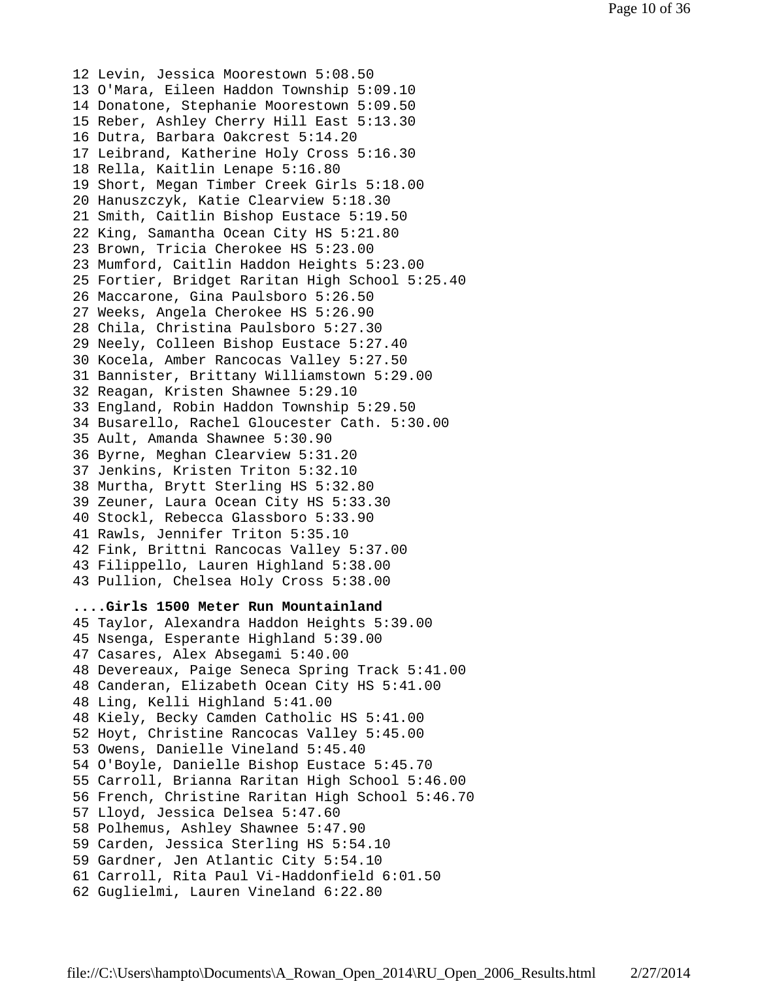12 Levin, Jessica Moorestown 5:08.50 13 O'Mara, Eileen Haddon Township 5:09.10 14 Donatone, Stephanie Moorestown 5:09.50 15 Reber, Ashley Cherry Hill East 5:13.30 16 Dutra, Barbara Oakcrest 5:14.20 17 Leibrand, Katherine Holy Cross 5:16.30 18 Rella, Kaitlin Lenape 5:16.80 19 Short, Megan Timber Creek Girls 5:18.00 20 Hanuszczyk, Katie Clearview 5:18.30 21 Smith, Caitlin Bishop Eustace 5:19.50 22 King, Samantha Ocean City HS 5:21.80 23 Brown, Tricia Cherokee HS 5:23.00 23 Mumford, Caitlin Haddon Heights 5:23.00 25 Fortier, Bridget Raritan High School 5:25.40 26 Maccarone, Gina Paulsboro 5:26.50 27 Weeks, Angela Cherokee HS 5:26.90 28 Chila, Christina Paulsboro 5:27.30 29 Neely, Colleen Bishop Eustace 5:27.40 30 Kocela, Amber Rancocas Valley 5:27.50 31 Bannister, Brittany Williamstown 5:29.00 32 Reagan, Kristen Shawnee 5:29.10 33 England, Robin Haddon Township 5:29.50 34 Busarello, Rachel Gloucester Cath. 5:30.00 35 Ault, Amanda Shawnee 5:30.90 36 Byrne, Meghan Clearview 5:31.20 37 Jenkins, Kristen Triton 5:32.10 38 Murtha, Brytt Sterling HS 5:32.80 39 Zeuner, Laura Ocean City HS 5:33.30 40 Stockl, Rebecca Glassboro 5:33.90 41 Rawls, Jennifer Triton 5:35.10 42 Fink, Brittni Rancocas Valley 5:37.00 43 Filippello, Lauren Highland 5:38.00 43 Pullion, Chelsea Holy Cross 5:38.00 **....Girls 1500 Meter Run Mountainland** 45 Taylor, Alexandra Haddon Heights 5:39.00 45 Nsenga, Esperante Highland 5:39.00 47 Casares, Alex Absegami 5:40.00 48 Devereaux, Paige Seneca Spring Track 5:41.00 48 Canderan, Elizabeth Ocean City HS 5:41.00 48 Ling, Kelli Highland 5:41.00 48 Kiely, Becky Camden Catholic HS 5:41.00 52 Hoyt, Christine Rancocas Valley 5:45.00 53 Owens, Danielle Vineland 5:45.40 54 O'Boyle, Danielle Bishop Eustace 5:45.70 55 Carroll, Brianna Raritan High School 5:46.00 56 French, Christine Raritan High School 5:46.70 57 Lloyd, Jessica Delsea 5:47.60 58 Polhemus, Ashley Shawnee 5:47.90 59 Carden, Jessica Sterling HS 5:54.10 59 Gardner, Jen Atlantic City 5:54.10 61 Carroll, Rita Paul Vi-Haddonfield 6:01.50

62 Guglielmi, Lauren Vineland 6:22.80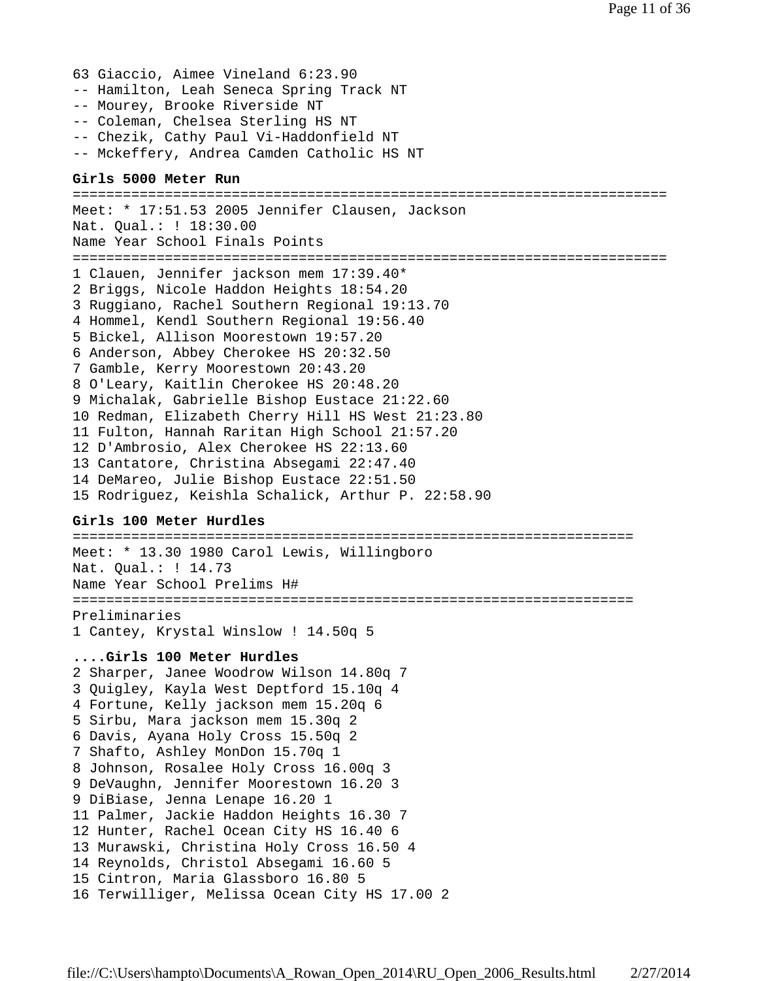- 63 Giaccio, Aimee Vineland 6:23.90
- -- Hamilton, Leah Seneca Spring Track NT
- -- Mourey, Brooke Riverside NT
- -- Coleman, Chelsea Sterling HS NT
- -- Chezik, Cathy Paul Vi-Haddonfield NT
- -- Mckeffery, Andrea Camden Catholic HS NT

### **Girls 5000 Meter Run**

======================================================================= Meet: \* 17:51.53 2005 Jennifer Clausen, Jackson Nat. Qual.: ! 18:30.00 Name Year School Finals Points ======================================================================= 1 Clauen, Jennifer jackson mem 17:39.40\* 2 Briggs, Nicole Haddon Heights 18:54.20 3 Ruggiano, Rachel Southern Regional 19:13.70 4 Hommel, Kendl Southern Regional 19:56.40 5 Bickel, Allison Moorestown 19:57.20 6 Anderson, Abbey Cherokee HS 20:32.50 7 Gamble, Kerry Moorestown 20:43.20 8 O'Leary, Kaitlin Cherokee HS 20:48.20 9 Michalak, Gabrielle Bishop Eustace 21:22.60 10 Redman, Elizabeth Cherry Hill HS West 21:23.80 11 Fulton, Hannah Raritan High School 21:57.20 12 D'Ambrosio, Alex Cherokee HS 22:13.60 13 Cantatore, Christina Absegami 22:47.40 14 DeMareo, Julie Bishop Eustace 22:51.50 15 Rodriguez, Keishla Schalick, Arthur P. 22:58.90

### **Girls 100 Meter Hurdles**

=================================================================== Meet: \* 13.30 1980 Carol Lewis, Willingboro Nat. Qual.: ! 14.73 Name Year School Prelims H# =================================================================== Preliminaries 1 Cantey, Krystal Winslow ! 14.50q 5

### **....Girls 100 Meter Hurdles**

2 Sharper, Janee Woodrow Wilson 14.80q 7 3 Quigley, Kayla West Deptford 15.10q 4 4 Fortune, Kelly jackson mem 15.20q 6 5 Sirbu, Mara jackson mem 15.30q 2 6 Davis, Ayana Holy Cross 15.50q 2 7 Shafto, Ashley MonDon 15.70q 1 8 Johnson, Rosalee Holy Cross 16.00q 3 9 DeVaughn, Jennifer Moorestown 16.20 3 9 DiBiase, Jenna Lenape 16.20 1 11 Palmer, Jackie Haddon Heights 16.30 7 12 Hunter, Rachel Ocean City HS 16.40 6 13 Murawski, Christina Holy Cross 16.50 4 14 Reynolds, Christol Absegami 16.60 5 15 Cintron, Maria Glassboro 16.80 5 16 Terwilliger, Melissa Ocean City HS 17.00 2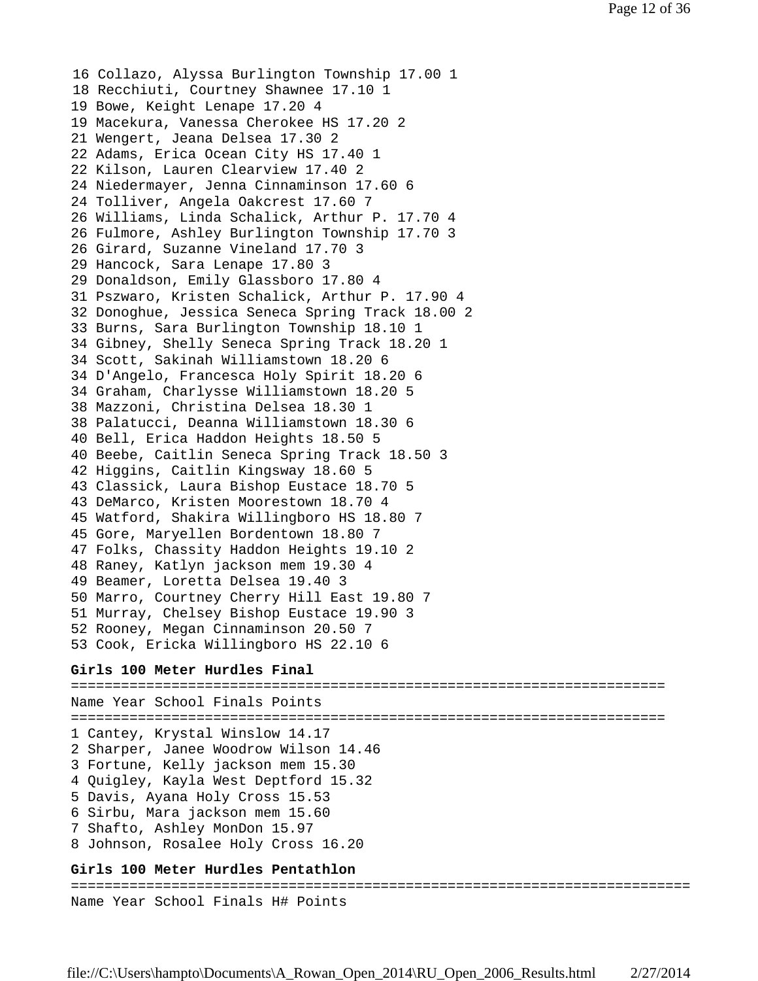16 Collazo, Alyssa Burlington Township 17.00 1 18 Recchiuti, Courtney Shawnee 17.10 1 19 Bowe, Keight Lenape 17.20 4 19 Macekura, Vanessa Cherokee HS 17.20 2 21 Wengert, Jeana Delsea 17.30 2 22 Adams, Erica Ocean City HS 17.40 1 22 Kilson, Lauren Clearview 17.40 2 24 Niedermayer, Jenna Cinnaminson 17.60 6 24 Tolliver, Angela Oakcrest 17.60 7 26 Williams, Linda Schalick, Arthur P. 17.70 4 26 Fulmore, Ashley Burlington Township 17.70 3 26 Girard, Suzanne Vineland 17.70 3 29 Hancock, Sara Lenape 17.80 3 29 Donaldson, Emily Glassboro 17.80 4 31 Pszwaro, Kristen Schalick, Arthur P. 17.90 4 32 Donoghue, Jessica Seneca Spring Track 18.00 2 33 Burns, Sara Burlington Township 18.10 1 34 Gibney, Shelly Seneca Spring Track 18.20 1 34 Scott, Sakinah Williamstown 18.20 6 34 D'Angelo, Francesca Holy Spirit 18.20 6 34 Graham, Charlysse Williamstown 18.20 5 38 Mazzoni, Christina Delsea 18.30 1 38 Palatucci, Deanna Williamstown 18.30 6 40 Bell, Erica Haddon Heights 18.50 5 40 Beebe, Caitlin Seneca Spring Track 18.50 3 42 Higgins, Caitlin Kingsway 18.60 5 43 Classick, Laura Bishop Eustace 18.70 5 43 DeMarco, Kristen Moorestown 18.70 4 45 Watford, Shakira Willingboro HS 18.80 7 45 Gore, Maryellen Bordentown 18.80 7 47 Folks, Chassity Haddon Heights 19.10 2 48 Raney, Katlyn jackson mem 19.30 4 49 Beamer, Loretta Delsea 19.40 3 50 Marro, Courtney Cherry Hill East 19.80 7 51 Murray, Chelsey Bishop Eustace 19.90 3 52 Rooney, Megan Cinnaminson 20.50 7 53 Cook, Ericka Willingboro HS 22.10 6 **Girls 100 Meter Hurdles Final** ======================================================================= Name Year School Finals Points ======================================================================= 1 Cantey, Krystal Winslow 14.17 2 Sharper, Janee Woodrow Wilson 14.46

3 Fortune, Kelly jackson mem 15.30

- 4 Quigley, Kayla West Deptford 15.32
- 5 Davis, Ayana Holy Cross 15.53
- 6 Sirbu, Mara jackson mem 15.60
- 7 Shafto, Ashley MonDon 15.97
- 8 Johnson, Rosalee Holy Cross 16.20

## **Girls 100 Meter Hurdles Pentathlon**

========================================================================== Name Year School Finals H# Points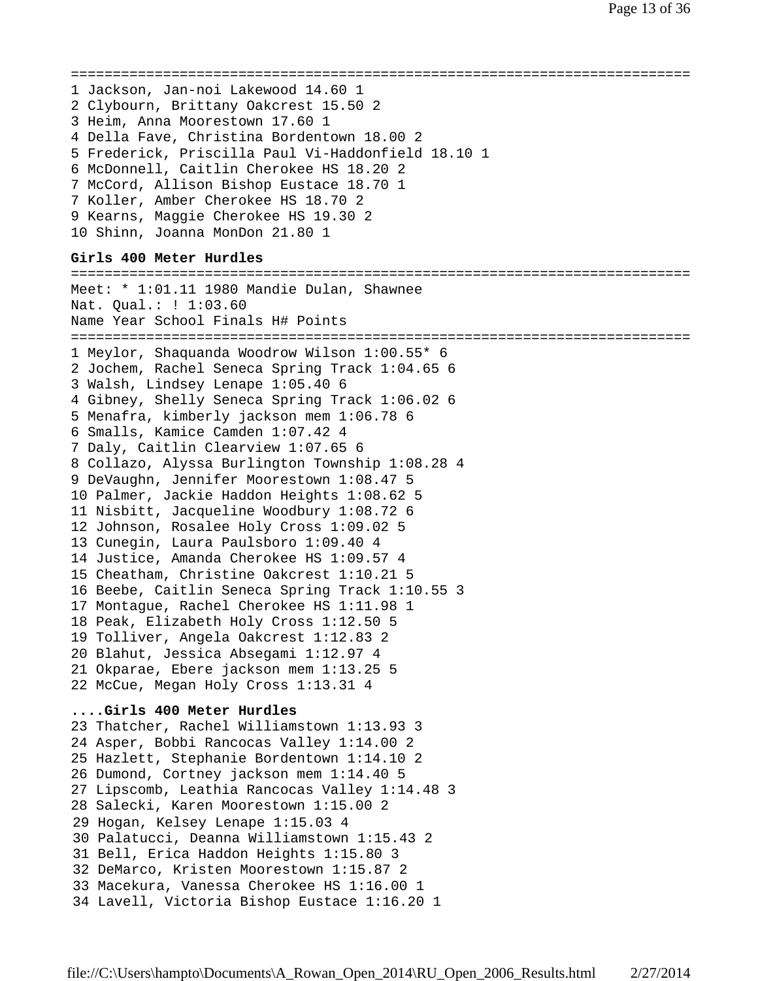```
==========================================================================
1 Jackson, Jan-noi Lakewood 14.60 1
2 Clybourn, Brittany Oakcrest 15.50 2
3 Heim, Anna Moorestown 17.60 1
4 Della Fave, Christina Bordentown 18.00 2
5 Frederick, Priscilla Paul Vi-Haddonfield 18.10 1
6 McDonnell, Caitlin Cherokee HS 18.20 2
7 McCord, Allison Bishop Eustace 18.70 1
7 Koller, Amber Cherokee HS 18.70 2
9 Kearns, Maggie Cherokee HS 19.30 2
10 Shinn, Joanna MonDon 21.80 1
Girls 400 Meter Hurdles
==========================================================================
Meet: * 1:01.11 1980 Mandie Dulan, Shawnee
Nat. Qual.: ! 1:03.60
Name Year School Finals H# Points
==========================================================================
1 Meylor, Shaquanda Woodrow Wilson 1:00.55* 6
2 Jochem, Rachel Seneca Spring Track 1:04.65 6
3 Walsh, Lindsey Lenape 1:05.40 6
4 Gibney, Shelly Seneca Spring Track 1:06.02 6
5 Menafra, kimberly jackson mem 1:06.78 6
6 Smalls, Kamice Camden 1:07.42 4
7 Daly, Caitlin Clearview 1:07.65 6
8 Collazo, Alyssa Burlington Township 1:08.28 4
9 DeVaughn, Jennifer Moorestown 1:08.47 5
10 Palmer, Jackie Haddon Heights 1:08.62 5
11 Nisbitt, Jacqueline Woodbury 1:08.72 6
12 Johnson, Rosalee Holy Cross 1:09.02 5
13 Cunegin, Laura Paulsboro 1:09.40 4
14 Justice, Amanda Cherokee HS 1:09.57 4
15 Cheatham, Christine Oakcrest 1:10.21 5
16 Beebe, Caitlin Seneca Spring Track 1:10.55 3
17 Montague, Rachel Cherokee HS 1:11.98 1
18 Peak, Elizabeth Holy Cross 1:12.50 5
19 Tolliver, Angela Oakcrest 1:12.83 2
20 Blahut, Jessica Absegami 1:12.97 4
21 Okparae, Ebere jackson mem 1:13.25 5
22 McCue, Megan Holy Cross 1:13.31 4
....Girls 400 Meter Hurdles
23 Thatcher, Rachel Williamstown 1:13.93 3
24 Asper, Bobbi Rancocas Valley 1:14.00 2
25 Hazlett, Stephanie Bordentown 1:14.10 2
26 Dumond, Cortney jackson mem 1:14.40 5
27 Lipscomb, Leathia Rancocas Valley 1:14.48 3
28 Salecki, Karen Moorestown 1:15.00 2
29 Hogan, Kelsey Lenape 1:15.03 4
30 Palatucci, Deanna Williamstown 1:15.43 2
31 Bell, Erica Haddon Heights 1:15.80 3
32 DeMarco, Kristen Moorestown 1:15.87 2
33 Macekura, Vanessa Cherokee HS 1:16.00 1
34 Lavell, Victoria Bishop Eustace 1:16.20 1
```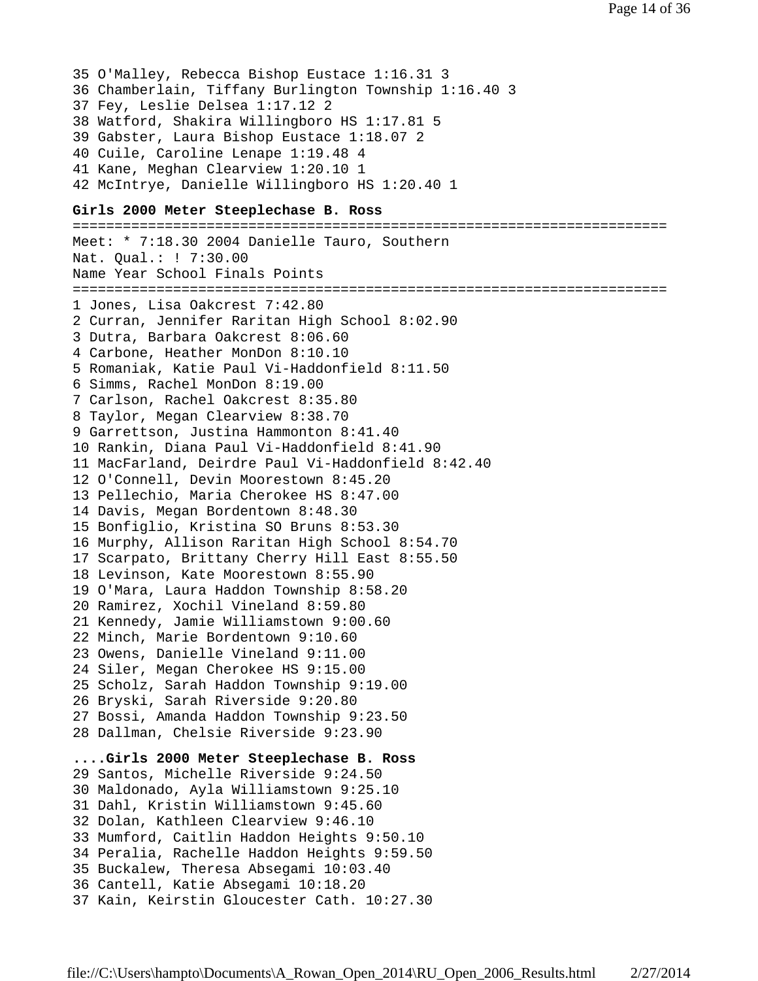35 O'Malley, Rebecca Bishop Eustace 1:16.31 3 36 Chamberlain, Tiffany Burlington Township 1:16.40 3 37 Fey, Leslie Delsea 1:17.12 2 38 Watford, Shakira Willingboro HS 1:17.81 5 39 Gabster, Laura Bishop Eustace 1:18.07 2 40 Cuile, Caroline Lenape 1:19.48 4 41 Kane, Meghan Clearview 1:20.10 1 42 McIntrye, Danielle Willingboro HS 1:20.40 1

# **Girls 2000 Meter Steeplechase B. Ross**

======================================================================= Meet: \* 7:18.30 2004 Danielle Tauro, Southern Nat. Qual.: ! 7:30.00 Name Year School Finals Points ======================================================================= 1 Jones, Lisa Oakcrest 7:42.80 2 Curran, Jennifer Raritan High School 8:02.90 3 Dutra, Barbara Oakcrest 8:06.60 4 Carbone, Heather MonDon 8:10.10 5 Romaniak, Katie Paul Vi-Haddonfield 8:11.50 6 Simms, Rachel MonDon 8:19.00 7 Carlson, Rachel Oakcrest 8:35.80 8 Taylor, Megan Clearview 8:38.70 9 Garrettson, Justina Hammonton 8:41.40 10 Rankin, Diana Paul Vi-Haddonfield 8:41.90 11 MacFarland, Deirdre Paul Vi-Haddonfield 8:42.40 12 O'Connell, Devin Moorestown 8:45.20 13 Pellechio, Maria Cherokee HS 8:47.00 14 Davis, Megan Bordentown 8:48.30 15 Bonfiglio, Kristina SO Bruns 8:53.30 16 Murphy, Allison Raritan High School 8:54.70 17 Scarpato, Brittany Cherry Hill East 8:55.50 18 Levinson, Kate Moorestown 8:55.90 19 O'Mara, Laura Haddon Township 8:58.20 20 Ramirez, Xochil Vineland 8:59.80 21 Kennedy, Jamie Williamstown 9:00.60 22 Minch, Marie Bordentown 9:10.60 23 Owens, Danielle Vineland 9:11.00 24 Siler, Megan Cherokee HS 9:15.00 25 Scholz, Sarah Haddon Township 9:19.00 26 Bryski, Sarah Riverside 9:20.80 27 Bossi, Amanda Haddon Township 9:23.50 28 Dallman, Chelsie Riverside 9:23.90 **....Girls 2000 Meter Steeplechase B. Ross** 29 Santos, Michelle Riverside 9:24.50 30 Maldonado, Ayla Williamstown 9:25.10 31 Dahl, Kristin Williamstown 9:45.60 32 Dolan, Kathleen Clearview 9:46.10 33 Mumford, Caitlin Haddon Heights 9:50.10 34 Peralia, Rachelle Haddon Heights 9:59.50 35 Buckalew, Theresa Absegami 10:03.40 36 Cantell, Katie Absegami 10:18.20 37 Kain, Keirstin Gloucester Cath. 10:27.30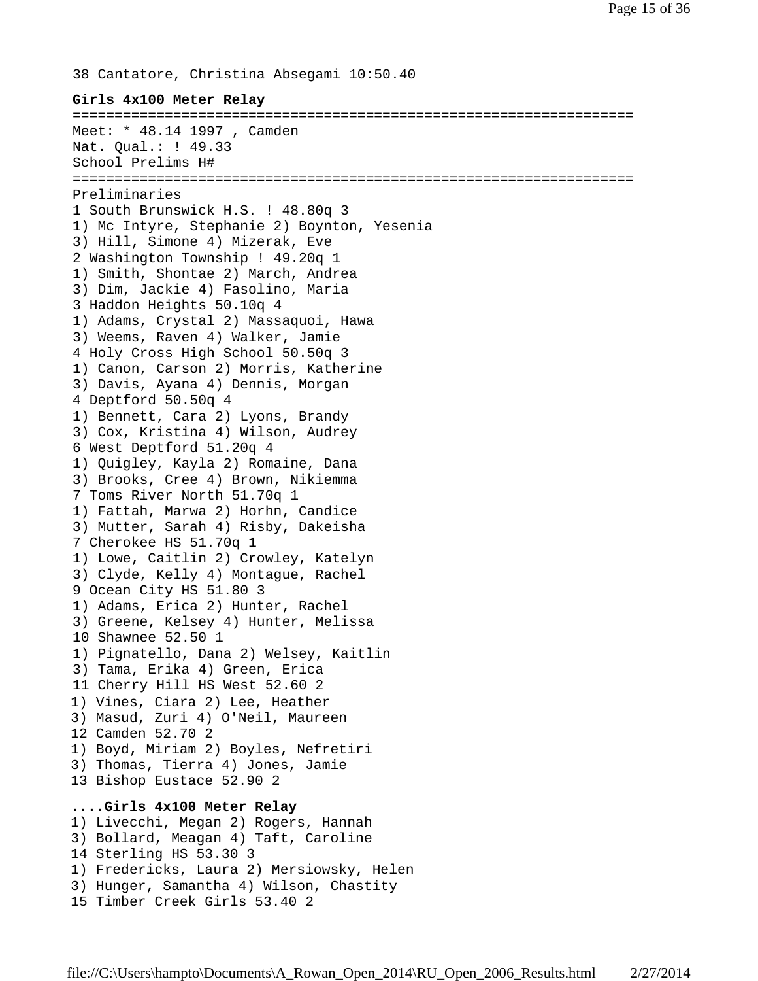38 Cantatore, Christina Absegami 10:50.40 **Girls 4x100 Meter Relay** =================================================================== Meet: \* 48.14 1997 , Camden Nat. Qual.: ! 49.33 School Prelims H# =================================================================== Preliminaries 1 South Brunswick H.S. ! 48.80q 3 1) Mc Intyre, Stephanie 2) Boynton, Yesenia 3) Hill, Simone 4) Mizerak, Eve 2 Washington Township ! 49.20q 1 1) Smith, Shontae 2) March, Andrea 3) Dim, Jackie 4) Fasolino, Maria 3 Haddon Heights 50.10q 4 1) Adams, Crystal 2) Massaquoi, Hawa 3) Weems, Raven 4) Walker, Jamie 4 Holy Cross High School 50.50q 3 1) Canon, Carson 2) Morris, Katherine 3) Davis, Ayana 4) Dennis, Morgan 4 Deptford 50.50q 4 1) Bennett, Cara 2) Lyons, Brandy 3) Cox, Kristina 4) Wilson, Audrey 6 West Deptford 51.20q 4 1) Quigley, Kayla 2) Romaine, Dana 3) Brooks, Cree 4) Brown, Nikiemma 7 Toms River North 51.70q 1 1) Fattah, Marwa 2) Horhn, Candice 3) Mutter, Sarah 4) Risby, Dakeisha 7 Cherokee HS 51.70q 1 1) Lowe, Caitlin 2) Crowley, Katelyn 3) Clyde, Kelly 4) Montague, Rachel 9 Ocean City HS 51.80 3 1) Adams, Erica 2) Hunter, Rachel 3) Greene, Kelsey 4) Hunter, Melissa 10 Shawnee 52.50 1 1) Pignatello, Dana 2) Welsey, Kaitlin 3) Tama, Erika 4) Green, Erica 11 Cherry Hill HS West 52.60 2 1) Vines, Ciara 2) Lee, Heather 3) Masud, Zuri 4) O'Neil, Maureen 12 Camden 52.70 2 1) Boyd, Miriam 2) Boyles, Nefretiri 3) Thomas, Tierra 4) Jones, Jamie 13 Bishop Eustace 52.90 2 **....Girls 4x100 Meter Relay** 1) Livecchi, Megan 2) Rogers, Hannah 3) Bollard, Meagan 4) Taft, Caroline 14 Sterling HS 53.30 3 1) Fredericks, Laura 2) Mersiowsky, Helen 3) Hunger, Samantha 4) Wilson, Chastity

15 Timber Creek Girls 53.40 2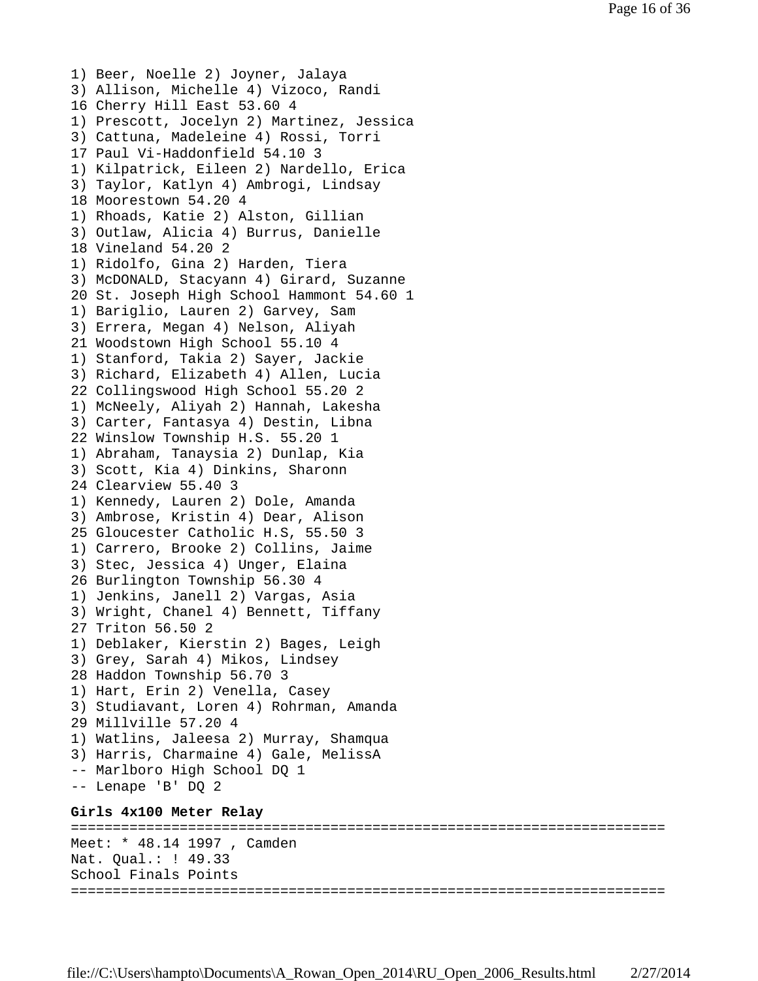```
1) Beer, Noelle 2) Joyner, Jalaya
3) Allison, Michelle 4) Vizoco, Randi
16 Cherry Hill East 53.60 4
1) Prescott, Jocelyn 2) Martinez, Jessica
3) Cattuna, Madeleine 4) Rossi, Torri
17 Paul Vi-Haddonfield 54.10 3
1) Kilpatrick, Eileen 2) Nardello, Erica
3) Taylor, Katlyn 4) Ambrogi, Lindsay
18 Moorestown 54.20 4
1) Rhoads, Katie 2) Alston, Gillian
3) Outlaw, Alicia 4) Burrus, Danielle
18 Vineland 54.20 2
1) Ridolfo, Gina 2) Harden, Tiera
3) McDONALD, Stacyann 4) Girard, Suzanne
20 St. Joseph High School Hammont 54.60 1
1) Bariglio, Lauren 2) Garvey, Sam
3) Errera, Megan 4) Nelson, Aliyah
21 Woodstown High School 55.10 4
1) Stanford, Takia 2) Sayer, Jackie
3) Richard, Elizabeth 4) Allen, Lucia
22 Collingswood High School 55.20 2
1) McNeely, Aliyah 2) Hannah, Lakesha
3) Carter, Fantasya 4) Destin, Libna
22 Winslow Township H.S. 55.20 1
1) Abraham, Tanaysia 2) Dunlap, Kia
3) Scott, Kia 4) Dinkins, Sharonn
24 Clearview 55.40 3
1) Kennedy, Lauren 2) Dole, Amanda
3) Ambrose, Kristin 4) Dear, Alison
25 Gloucester Catholic H.S, 55.50 3
1) Carrero, Brooke 2) Collins, Jaime
3) Stec, Jessica 4) Unger, Elaina
26 Burlington Township 56.30 4
1) Jenkins, Janell 2) Vargas, Asia
3) Wright, Chanel 4) Bennett, Tiffany
27 Triton 56.50 2
1) Deblaker, Kierstin 2) Bages, Leigh
3) Grey, Sarah 4) Mikos, Lindsey
28 Haddon Township 56.70 3
1) Hart, Erin 2) Venella, Casey
3) Studiavant, Loren 4) Rohrman, Amanda
29 Millville 57.20 4
1) Watlins, Jaleesa 2) Murray, Shamqua
3) Harris, Charmaine 4) Gale, MelissA
-- Marlboro High School DQ 1
-- Lenape 'B' DQ 2
Girls 4x100 Meter Relay
=======================================================================
Meet: * 48.14 1997 , Camden
Nat. Qual.: ! 49.33
School Finals Points
=======================================================================
```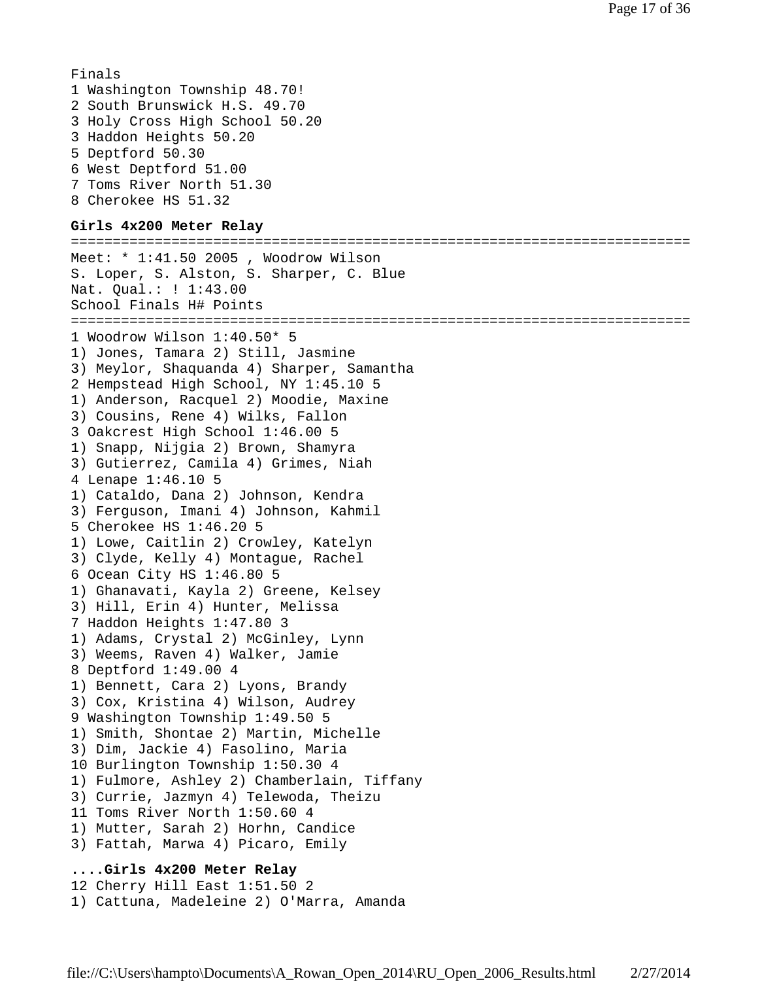```
Finals
1 Washington Township 48.70!
2 South Brunswick H.S. 49.70
3 Holy Cross High School 50.20
3 Haddon Heights 50.20
5 Deptford 50.30
6 West Deptford 51.00
7 Toms River North 51.30
8 Cherokee HS 51.32
```
### **Girls 4x200 Meter Relay**

========================================================================== Meet: \* 1:41.50 2005 , Woodrow Wilson S. Loper, S. Alston, S. Sharper, C. Blue Nat. Qual.: ! 1:43.00 School Finals H# Points ========================================================================== 1 Woodrow Wilson 1:40.50\* 5 1) Jones, Tamara 2) Still, Jasmine 3) Meylor, Shaquanda 4) Sharper, Samantha 2 Hempstead High School, NY 1:45.10 5 1) Anderson, Racquel 2) Moodie, Maxine 3) Cousins, Rene 4) Wilks, Fallon 3 Oakcrest High School 1:46.00 5 1) Snapp, Nijgia 2) Brown, Shamyra 3) Gutierrez, Camila 4) Grimes, Niah 4 Lenape 1:46.10 5 1) Cataldo, Dana 2) Johnson, Kendra 3) Ferguson, Imani 4) Johnson, Kahmil 5 Cherokee HS 1:46.20 5 1) Lowe, Caitlin 2) Crowley, Katelyn 3) Clyde, Kelly 4) Montague, Rachel 6 Ocean City HS 1:46.80 5 1) Ghanavati, Kayla 2) Greene, Kelsey 3) Hill, Erin 4) Hunter, Melissa 7 Haddon Heights 1:47.80 3 1) Adams, Crystal 2) McGinley, Lynn 3) Weems, Raven 4) Walker, Jamie 8 Deptford 1:49.00 4 1) Bennett, Cara 2) Lyons, Brandy 3) Cox, Kristina 4) Wilson, Audrey 9 Washington Township 1:49.50 5 1) Smith, Shontae 2) Martin, Michelle 3) Dim, Jackie 4) Fasolino, Maria 10 Burlington Township 1:50.30 4 1) Fulmore, Ashley 2) Chamberlain, Tiffany 3) Currie, Jazmyn 4) Telewoda, Theizu 11 Toms River North 1:50.60 4 1) Mutter, Sarah 2) Horhn, Candice 3) Fattah, Marwa 4) Picaro, Emily **....Girls 4x200 Meter Relay** 12 Cherry Hill East 1:51.50 2 1) Cattuna, Madeleine 2) O'Marra, Amanda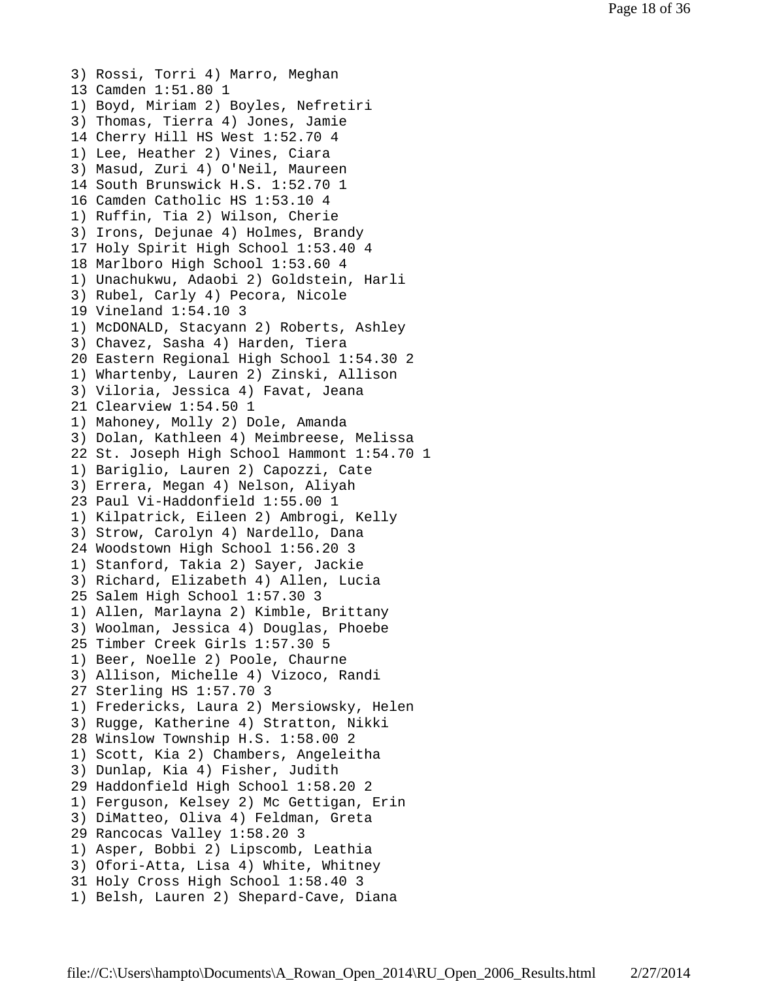3) Rossi, Torri 4) Marro, Meghan 13 Camden 1:51.80 1 1) Boyd, Miriam 2) Boyles, Nefretiri 3) Thomas, Tierra 4) Jones, Jamie 14 Cherry Hill HS West 1:52.70 4 1) Lee, Heather 2) Vines, Ciara 3) Masud, Zuri 4) O'Neil, Maureen 14 South Brunswick H.S. 1:52.70 1 16 Camden Catholic HS 1:53.10 4 1) Ruffin, Tia 2) Wilson, Cherie 3) Irons, Dejunae 4) Holmes, Brandy 17 Holy Spirit High School 1:53.40 4 18 Marlboro High School 1:53.60 4 1) Unachukwu, Adaobi 2) Goldstein, Harli 3) Rubel, Carly 4) Pecora, Nicole 19 Vineland 1:54.10 3 1) McDONALD, Stacyann 2) Roberts, Ashley 3) Chavez, Sasha 4) Harden, Tiera 20 Eastern Regional High School 1:54.30 2 1) Whartenby, Lauren 2) Zinski, Allison 3) Viloria, Jessica 4) Favat, Jeana 21 Clearview 1:54.50 1 1) Mahoney, Molly 2) Dole, Amanda 3) Dolan, Kathleen 4) Meimbreese, Melissa 22 St. Joseph High School Hammont 1:54.70 1 1) Bariglio, Lauren 2) Capozzi, Cate 3) Errera, Megan 4) Nelson, Aliyah 23 Paul Vi-Haddonfield 1:55.00 1 1) Kilpatrick, Eileen 2) Ambrogi, Kelly 3) Strow, Carolyn 4) Nardello, Dana 24 Woodstown High School 1:56.20 3 1) Stanford, Takia 2) Sayer, Jackie 3) Richard, Elizabeth 4) Allen, Lucia 25 Salem High School 1:57.30 3 1) Allen, Marlayna 2) Kimble, Brittany 3) Woolman, Jessica 4) Douglas, Phoebe 25 Timber Creek Girls 1:57.30 5 1) Beer, Noelle 2) Poole, Chaurne 3) Allison, Michelle 4) Vizoco, Randi 27 Sterling HS 1:57.70 3 1) Fredericks, Laura 2) Mersiowsky, Helen 3) Rugge, Katherine 4) Stratton, Nikki 28 Winslow Township H.S. 1:58.00 2 1) Scott, Kia 2) Chambers, Angeleitha 3) Dunlap, Kia 4) Fisher, Judith 29 Haddonfield High School 1:58.20 2 1) Ferguson, Kelsey 2) Mc Gettigan, Erin 3) DiMatteo, Oliva 4) Feldman, Greta 29 Rancocas Valley 1:58.20 3 1) Asper, Bobbi 2) Lipscomb, Leathia 3) Ofori-Atta, Lisa 4) White, Whitney 31 Holy Cross High School 1:58.40 3 1) Belsh, Lauren 2) Shepard-Cave, Diana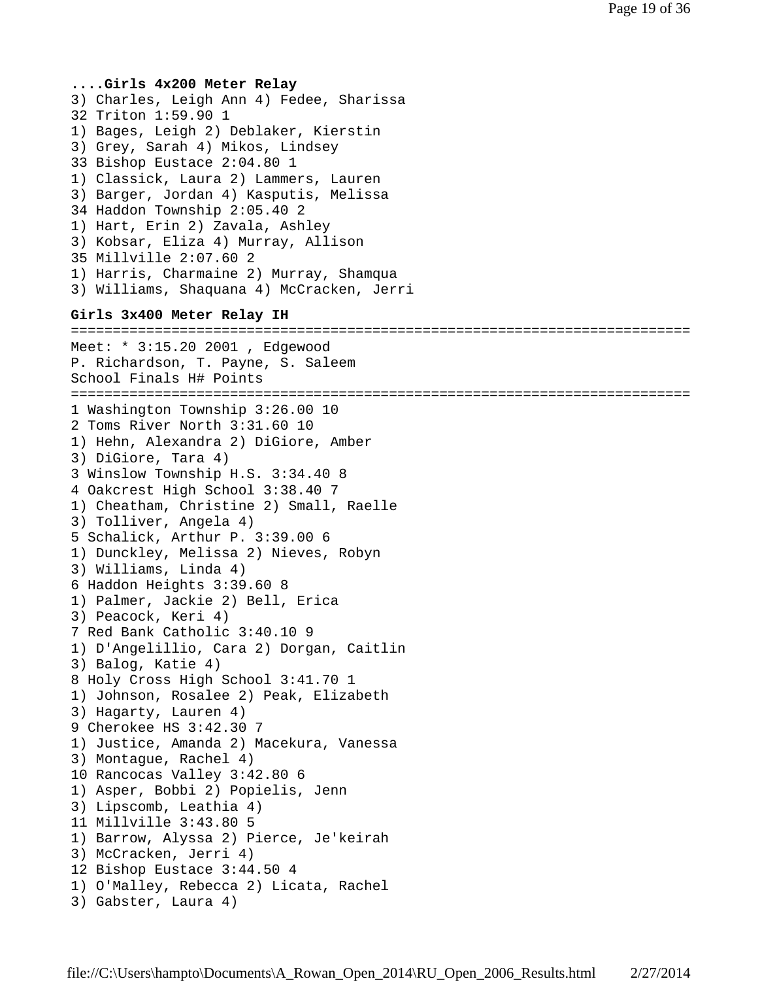**....Girls 4x200 Meter Relay** 3) Charles, Leigh Ann 4) Fedee, Sharissa 32 Triton 1:59.90 1 1) Bages, Leigh 2) Deblaker, Kierstin 3) Grey, Sarah 4) Mikos, Lindsey 33 Bishop Eustace 2:04.80 1 1) Classick, Laura 2) Lammers, Lauren 3) Barger, Jordan 4) Kasputis, Melissa 34 Haddon Township 2:05.40 2 1) Hart, Erin 2) Zavala, Ashley 3) Kobsar, Eliza 4) Murray, Allison 35 Millville 2:07.60 2 1) Harris, Charmaine 2) Murray, Shamqua 3) Williams, Shaquana 4) McCracken, Jerri **Girls 3x400 Meter Relay IH** ========================================================================== Meet: \* 3:15.20 2001 , Edgewood P. Richardson, T. Payne, S. Saleem School Finals H# Points ========================================================================== 1 Washington Township 3:26.00 10 2 Toms River North 3:31.60 10 1) Hehn, Alexandra 2) DiGiore, Amber 3) DiGiore, Tara 4) 3 Winslow Township H.S. 3:34.40 8 4 Oakcrest High School 3:38.40 7 1) Cheatham, Christine 2) Small, Raelle 3) Tolliver, Angela 4) 5 Schalick, Arthur P. 3:39.00 6 1) Dunckley, Melissa 2) Nieves, Robyn 3) Williams, Linda 4) 6 Haddon Heights 3:39.60 8 1) Palmer, Jackie 2) Bell, Erica 3) Peacock, Keri 4) 7 Red Bank Catholic 3:40.10 9 1) D'Angelillio, Cara 2) Dorgan, Caitlin 3) Balog, Katie 4) 8 Holy Cross High School 3:41.70 1 1) Johnson, Rosalee 2) Peak, Elizabeth 3) Hagarty, Lauren 4) 9 Cherokee HS 3:42.30 7 1) Justice, Amanda 2) Macekura, Vanessa 3) Montague, Rachel 4) 10 Rancocas Valley 3:42.80 6 1) Asper, Bobbi 2) Popielis, Jenn 3) Lipscomb, Leathia 4) 11 Millville 3:43.80 5 1) Barrow, Alyssa 2) Pierce, Je'keirah 3) McCracken, Jerri 4) 12 Bishop Eustace 3:44.50 4 1) O'Malley, Rebecca 2) Licata, Rachel 3) Gabster, Laura 4)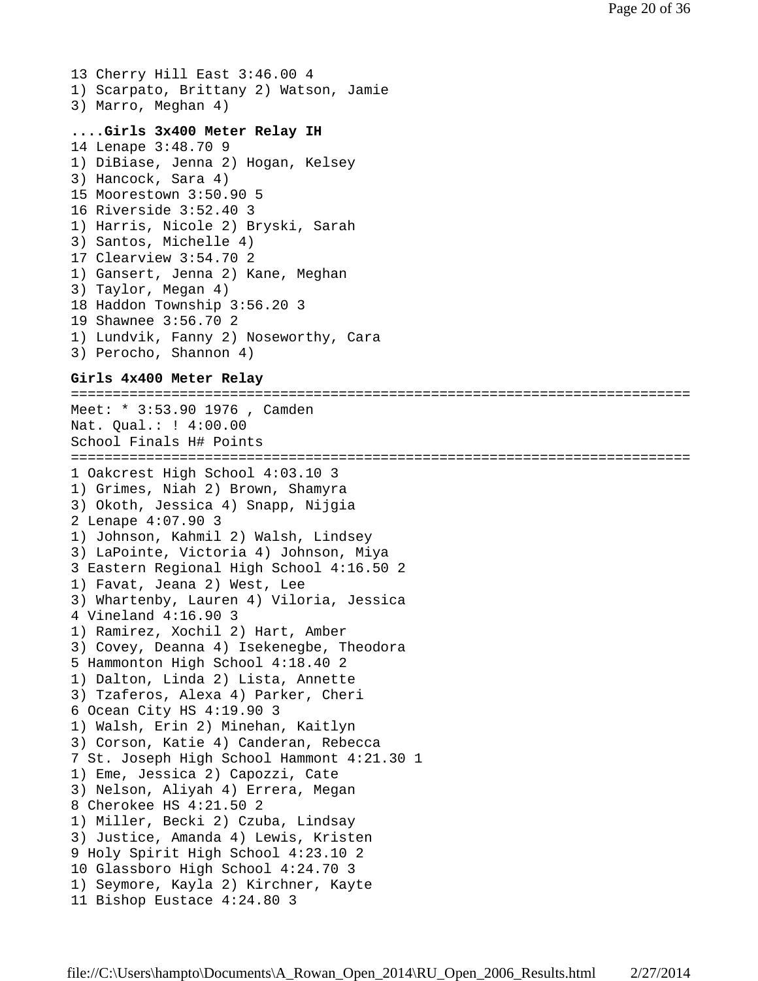13 Cherry Hill East 3:46.00 4 1) Scarpato, Brittany 2) Watson, Jamie 3) Marro, Meghan 4)

# **....Girls 3x400 Meter Relay IH**

```
14 Lenape 3:48.70 9
1) DiBiase, Jenna 2) Hogan, Kelsey
3) Hancock, Sara 4)
15 Moorestown 3:50.90 5
16 Riverside 3:52.40 3
1) Harris, Nicole 2) Bryski, Sarah
3) Santos, Michelle 4)
17 Clearview 3:54.70 2
1) Gansert, Jenna 2) Kane, Meghan
3) Taylor, Megan 4)
18 Haddon Township 3:56.20 3
19 Shawnee 3:56.70 2
1) Lundvik, Fanny 2) Noseworthy, Cara
3) Perocho, Shannon 4)
```
### **Girls 4x400 Meter Relay**

========================================================================== Meet: \* 3:53.90 1976 , Camden Nat. Qual.: ! 4:00.00 School Finals H# Points ========================================================================== 1 Oakcrest High School 4:03.10 3 1) Grimes, Niah 2) Brown, Shamyra 3) Okoth, Jessica 4) Snapp, Nijgia 2 Lenape 4:07.90 3 1) Johnson, Kahmil 2) Walsh, Lindsey 3) LaPointe, Victoria 4) Johnson, Miya 3 Eastern Regional High School 4:16.50 2 1) Favat, Jeana 2) West, Lee 3) Whartenby, Lauren 4) Viloria, Jessica 4 Vineland 4:16.90 3 1) Ramirez, Xochil 2) Hart, Amber 3) Covey, Deanna 4) Isekenegbe, Theodora 5 Hammonton High School 4:18.40 2 1) Dalton, Linda 2) Lista, Annette 3) Tzaferos, Alexa 4) Parker, Cheri 6 Ocean City HS 4:19.90 3 1) Walsh, Erin 2) Minehan, Kaitlyn 3) Corson, Katie 4) Canderan, Rebecca 7 St. Joseph High School Hammont 4:21.30 1 1) Eme, Jessica 2) Capozzi, Cate 3) Nelson, Aliyah 4) Errera, Megan 8 Cherokee HS 4:21.50 2 1) Miller, Becki 2) Czuba, Lindsay 3) Justice, Amanda 4) Lewis, Kristen 9 Holy Spirit High School 4:23.10 2 10 Glassboro High School 4:24.70 3 1) Seymore, Kayla 2) Kirchner, Kayte 11 Bishop Eustace 4:24.80 3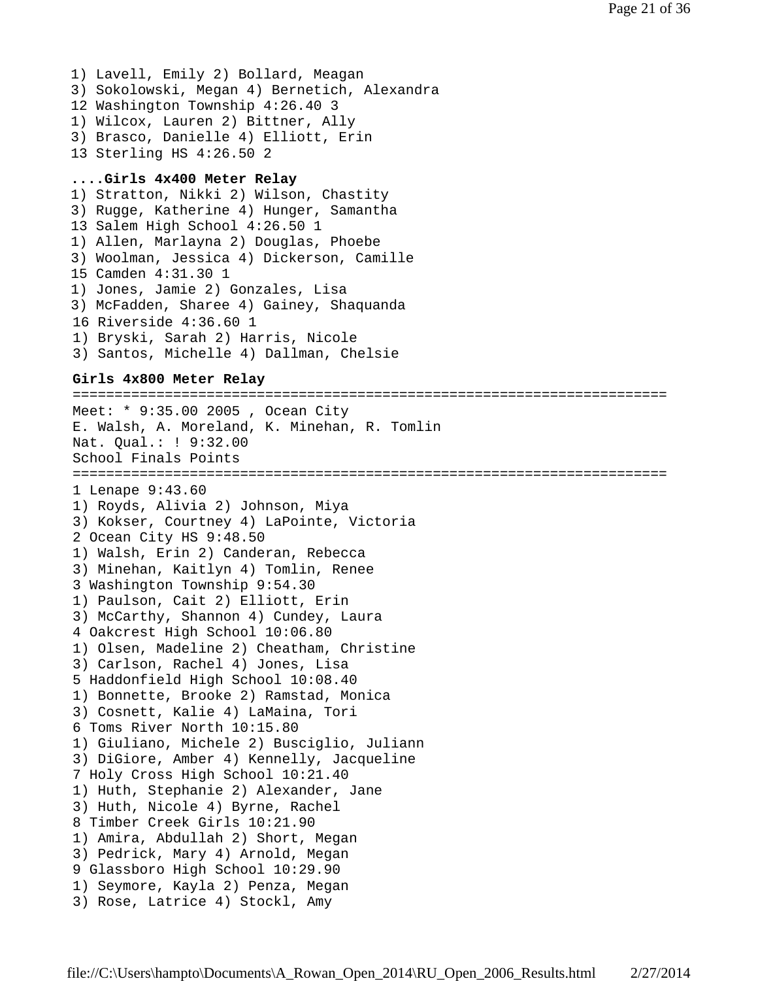1) Lavell, Emily 2) Bollard, Meagan 3) Sokolowski, Megan 4) Bernetich, Alexandra 12 Washington Township 4:26.40 3 1) Wilcox, Lauren 2) Bittner, Ally 3) Brasco, Danielle 4) Elliott, Erin 13 Sterling HS 4:26.50 2

### **....Girls 4x400 Meter Relay**

1) Stratton, Nikki 2) Wilson, Chastity 3) Rugge, Katherine 4) Hunger, Samantha 13 Salem High School 4:26.50 1 1) Allen, Marlayna 2) Douglas, Phoebe 3) Woolman, Jessica 4) Dickerson, Camille 15 Camden 4:31.30 1 1) Jones, Jamie 2) Gonzales, Lisa 3) McFadden, Sharee 4) Gainey, Shaquanda 16 Riverside 4:36.60 1 1) Bryski, Sarah 2) Harris, Nicole 3) Santos, Michelle 4) Dallman, Chelsie

### **Girls 4x800 Meter Relay**

======================================================================= Meet: \* 9:35.00 2005 , Ocean City E. Walsh, A. Moreland, K. Minehan, R. Tomlin Nat. Qual.: ! 9:32.00 School Finals Points ======================================================================= 1 Lenape 9:43.60 1) Royds, Alivia 2) Johnson, Miya 3) Kokser, Courtney 4) LaPointe, Victoria 2 Ocean City HS 9:48.50 1) Walsh, Erin 2) Canderan, Rebecca 3) Minehan, Kaitlyn 4) Tomlin, Renee 3 Washington Township 9:54.30 1) Paulson, Cait 2) Elliott, Erin 3) McCarthy, Shannon 4) Cundey, Laura 4 Oakcrest High School 10:06.80 1) Olsen, Madeline 2) Cheatham, Christine 3) Carlson, Rachel 4) Jones, Lisa 5 Haddonfield High School 10:08.40 1) Bonnette, Brooke 2) Ramstad, Monica 3) Cosnett, Kalie 4) LaMaina, Tori 6 Toms River North 10:15.80 1) Giuliano, Michele 2) Busciglio, Juliann 3) DiGiore, Amber 4) Kennelly, Jacqueline 7 Holy Cross High School 10:21.40 1) Huth, Stephanie 2) Alexander, Jane 3) Huth, Nicole 4) Byrne, Rachel 8 Timber Creek Girls 10:21.90 1) Amira, Abdullah 2) Short, Megan 3) Pedrick, Mary 4) Arnold, Megan 9 Glassboro High School 10:29.90 1) Seymore, Kayla 2) Penza, Megan 3) Rose, Latrice 4) Stockl, Amy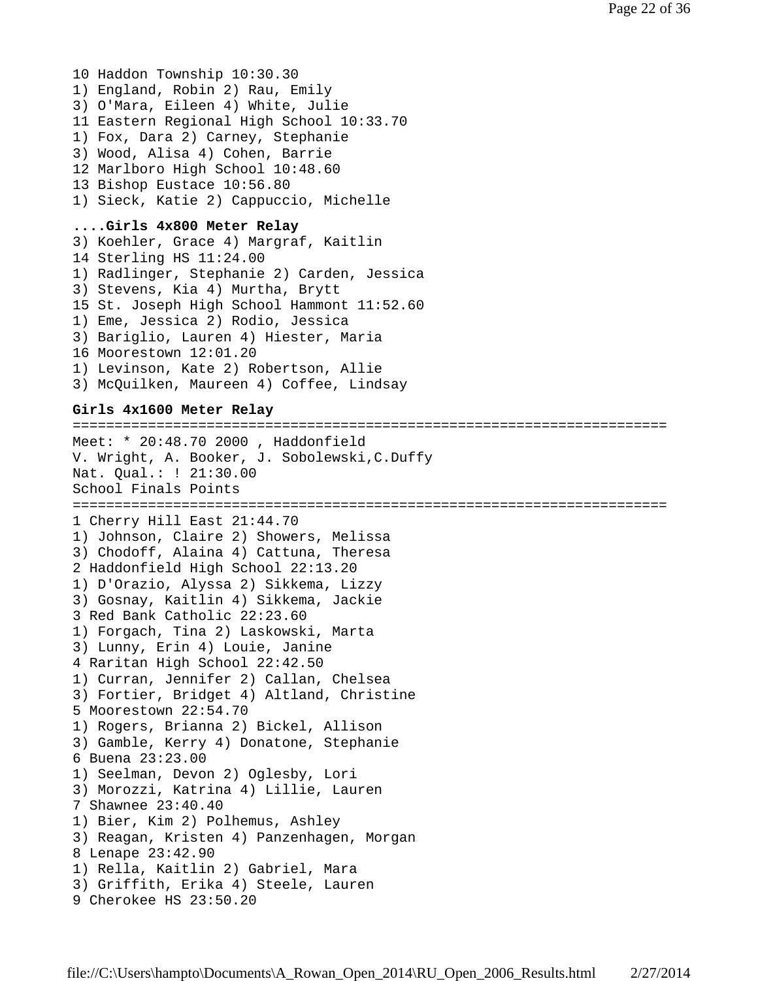10 Haddon Township 10:30.30 1) England, Robin 2) Rau, Emily 3) O'Mara, Eileen 4) White, Julie 11 Eastern Regional High School 10:33.70 1) Fox, Dara 2) Carney, Stephanie 3) Wood, Alisa 4) Cohen, Barrie 12 Marlboro High School 10:48.60 13 Bishop Eustace 10:56.80 1) Sieck, Katie 2) Cappuccio, Michelle **....Girls 4x800 Meter Relay** 3) Koehler, Grace 4) Margraf, Kaitlin 14 Sterling HS 11:24.00 1) Radlinger, Stephanie 2) Carden, Jessica 3) Stevens, Kia 4) Murtha, Brytt 15 St. Joseph High School Hammont 11:52.60 1) Eme, Jessica 2) Rodio, Jessica 3) Bariglio, Lauren 4) Hiester, Maria 16 Moorestown 12:01.20 1) Levinson, Kate 2) Robertson, Allie 3) McQuilken, Maureen 4) Coffee, Lindsay **Girls 4x1600 Meter Relay** ======================================================================= Meet: \* 20:48.70 2000 , Haddonfield V. Wright, A. Booker, J. Sobolewski,C.Duffy Nat. Qual.: ! 21:30.00 School Finals Points ======================================================================= 1 Cherry Hill East 21:44.70 1) Johnson, Claire 2) Showers, Melissa 3) Chodoff, Alaina 4) Cattuna, Theresa 2 Haddonfield High School 22:13.20 1) D'Orazio, Alyssa 2) Sikkema, Lizzy 3) Gosnay, Kaitlin 4) Sikkema, Jackie 3 Red Bank Catholic 22:23.60 1) Forgach, Tina 2) Laskowski, Marta 3) Lunny, Erin 4) Louie, Janine 4 Raritan High School 22:42.50 1) Curran, Jennifer 2) Callan, Chelsea 3) Fortier, Bridget 4) Altland, Christine 5 Moorestown 22:54.70 1) Rogers, Brianna 2) Bickel, Allison 3) Gamble, Kerry 4) Donatone, Stephanie 6 Buena 23:23.00 1) Seelman, Devon 2) Oglesby, Lori 3) Morozzi, Katrina 4) Lillie, Lauren 7 Shawnee 23:40.40 1) Bier, Kim 2) Polhemus, Ashley 3) Reagan, Kristen 4) Panzenhagen, Morgan 8 Lenape 23:42.90 1) Rella, Kaitlin 2) Gabriel, Mara 3) Griffith, Erika 4) Steele, Lauren 9 Cherokee HS 23:50.20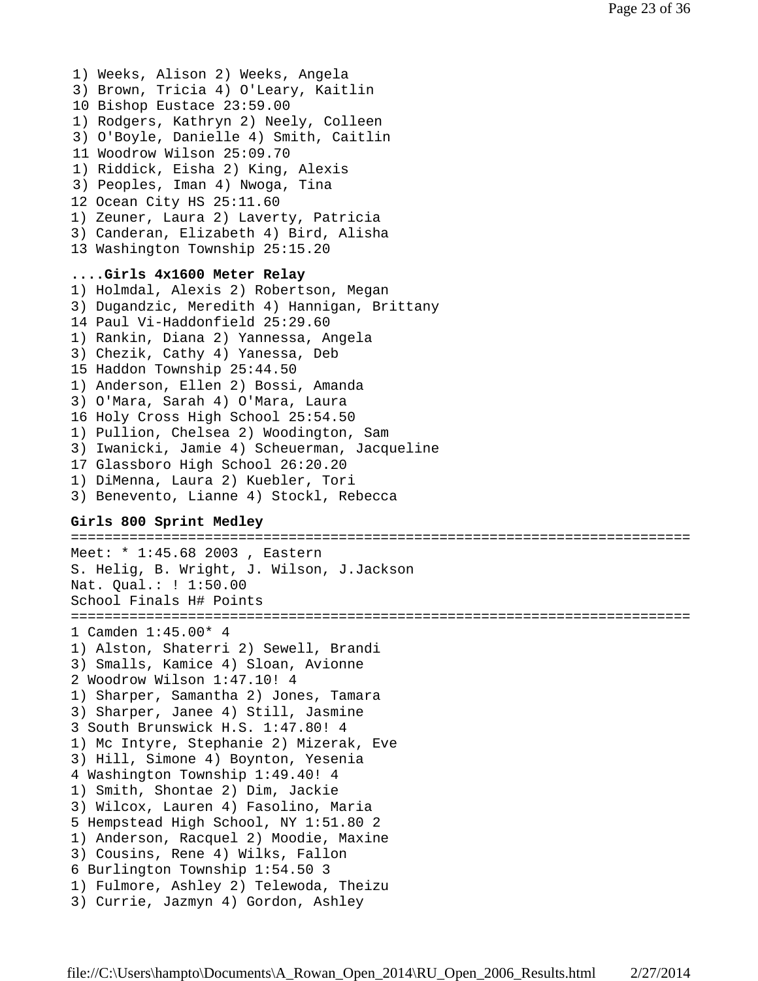1) Weeks, Alison 2) Weeks, Angela 3) Brown, Tricia 4) O'Leary, Kaitlin 10 Bishop Eustace 23:59.00 1) Rodgers, Kathryn 2) Neely, Colleen 3) O'Boyle, Danielle 4) Smith, Caitlin 11 Woodrow Wilson 25:09.70 1) Riddick, Eisha 2) King, Alexis 3) Peoples, Iman 4) Nwoga, Tina 12 Ocean City HS 25:11.60 1) Zeuner, Laura 2) Laverty, Patricia 3) Canderan, Elizabeth 4) Bird, Alisha 13 Washington Township 25:15.20 **....Girls 4x1600 Meter Relay** 1) Holmdal, Alexis 2) Robertson, Megan 3) Dugandzic, Meredith 4) Hannigan, Brittany 14 Paul Vi-Haddonfield 25:29.60 1) Rankin, Diana 2) Yannessa, Angela 3) Chezik, Cathy 4) Yanessa, Deb 15 Haddon Township 25:44.50 1) Anderson, Ellen 2) Bossi, Amanda 3) O'Mara, Sarah 4) O'Mara, Laura 16 Holy Cross High School 25:54.50 1) Pullion, Chelsea 2) Woodington, Sam 3) Iwanicki, Jamie 4) Scheuerman, Jacqueline 17 Glassboro High School 26:20.20 1) DiMenna, Laura 2) Kuebler, Tori 3) Benevento, Lianne 4) Stockl, Rebecca

# **Girls 800 Sprint Medley**

========================================================================== Meet: \* 1:45.68 2003 , Eastern S. Helig, B. Wright, J. Wilson, J.Jackson Nat. Qual.: ! 1:50.00 School Finals H# Points ========================================================================== 1 Camden 1:45.00\* 4 1) Alston, Shaterri 2) Sewell, Brandi 3) Smalls, Kamice 4) Sloan, Avionne 2 Woodrow Wilson 1:47.10! 4 1) Sharper, Samantha 2) Jones, Tamara 3) Sharper, Janee 4) Still, Jasmine 3 South Brunswick H.S. 1:47.80! 4 1) Mc Intyre, Stephanie 2) Mizerak, Eve 3) Hill, Simone 4) Boynton, Yesenia 4 Washington Township 1:49.40! 4 1) Smith, Shontae 2) Dim, Jackie 3) Wilcox, Lauren 4) Fasolino, Maria 5 Hempstead High School, NY 1:51.80 2 1) Anderson, Racquel 2) Moodie, Maxine 3) Cousins, Rene 4) Wilks, Fallon 6 Burlington Township 1:54.50 3 1) Fulmore, Ashley 2) Telewoda, Theizu 3) Currie, Jazmyn 4) Gordon, Ashley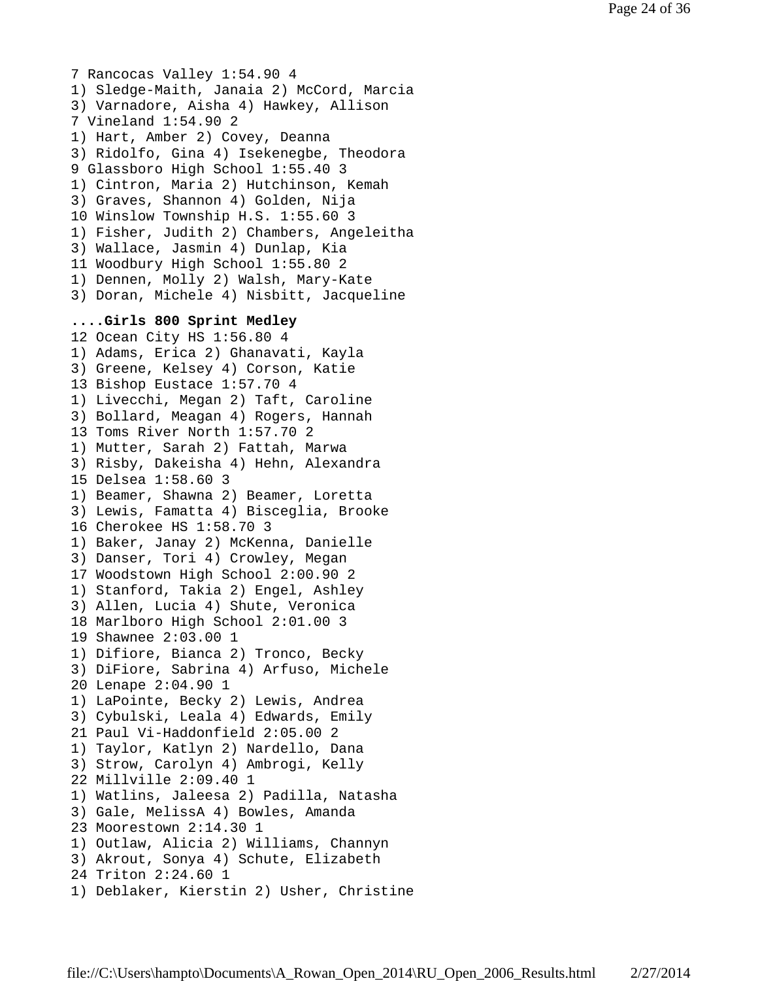7 Rancocas Valley 1:54.90 4 1) Sledge-Maith, Janaia 2) McCord, Marcia 3) Varnadore, Aisha 4) Hawkey, Allison 7 Vineland 1:54.90 2 1) Hart, Amber 2) Covey, Deanna 3) Ridolfo, Gina 4) Isekenegbe, Theodora 9 Glassboro High School 1:55.40 3 1) Cintron, Maria 2) Hutchinson, Kemah 3) Graves, Shannon 4) Golden, Nija 10 Winslow Township H.S. 1:55.60 3 1) Fisher, Judith 2) Chambers, Angeleitha 3) Wallace, Jasmin 4) Dunlap, Kia 11 Woodbury High School 1:55.80 2 1) Dennen, Molly 2) Walsh, Mary-Kate 3) Doran, Michele 4) Nisbitt, Jacqueline **....Girls 800 Sprint Medley** 12 Ocean City HS 1:56.80 4 1) Adams, Erica 2) Ghanavati, Kayla 3) Greene, Kelsey 4) Corson, Katie 13 Bishop Eustace 1:57.70 4 1) Livecchi, Megan 2) Taft, Caroline 3) Bollard, Meagan 4) Rogers, Hannah 13 Toms River North 1:57.70 2 1) Mutter, Sarah 2) Fattah, Marwa 3) Risby, Dakeisha 4) Hehn, Alexandra 15 Delsea 1:58.60 3 1) Beamer, Shawna 2) Beamer, Loretta 3) Lewis, Famatta 4) Bisceglia, Brooke 16 Cherokee HS 1:58.70 3 1) Baker, Janay 2) McKenna, Danielle 3) Danser, Tori 4) Crowley, Megan 17 Woodstown High School 2:00.90 2 1) Stanford, Takia 2) Engel, Ashley 3) Allen, Lucia 4) Shute, Veronica 18 Marlboro High School 2:01.00 3 19 Shawnee 2:03.00 1 1) Difiore, Bianca 2) Tronco, Becky 3) DiFiore, Sabrina 4) Arfuso, Michele 20 Lenape 2:04.90 1 1) LaPointe, Becky 2) Lewis, Andrea 3) Cybulski, Leala 4) Edwards, Emily 21 Paul Vi-Haddonfield 2:05.00 2 1) Taylor, Katlyn 2) Nardello, Dana 3) Strow, Carolyn 4) Ambrogi, Kelly 22 Millville 2:09.40 1 1) Watlins, Jaleesa 2) Padilla, Natasha 3) Gale, MelissA 4) Bowles, Amanda 23 Moorestown 2:14.30 1 1) Outlaw, Alicia 2) Williams, Channyn 3) Akrout, Sonya 4) Schute, Elizabeth 24 Triton 2:24.60 1 1) Deblaker, Kierstin 2) Usher, Christine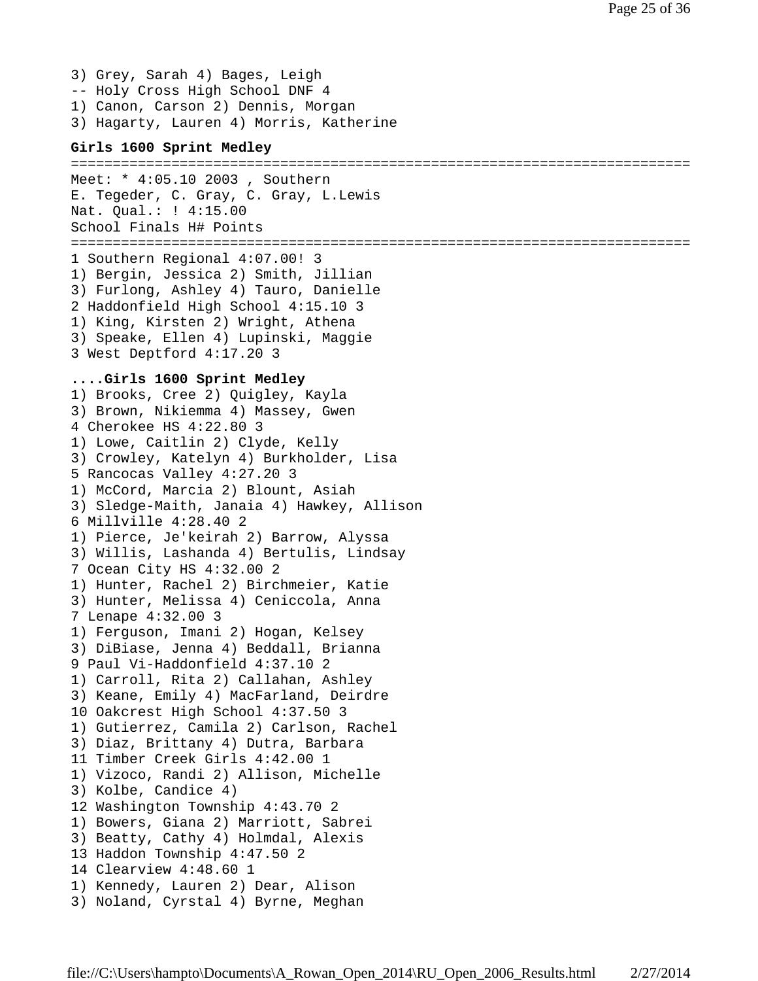3) Grey, Sarah 4) Bages, Leigh -- Holy Cross High School DNF 4 1) Canon, Carson 2) Dennis, Morgan 3) Hagarty, Lauren 4) Morris, Katherine

### **Girls 1600 Sprint Medley**

```
==========================================================================
Meet: * 4:05.10 2003 , Southern
E. Tegeder, C. Gray, C. Gray, L.Lewis
Nat. Qual.: ! 4:15.00
School Finals H# Points
==========================================================================
1 Southern Regional 4:07.00! 3
1) Bergin, Jessica 2) Smith, Jillian
3) Furlong, Ashley 4) Tauro, Danielle
2 Haddonfield High School 4:15.10 3
1) King, Kirsten 2) Wright, Athena
3) Speake, Ellen 4) Lupinski, Maggie
3 West Deptford 4:17.20 3
....Girls 1600 Sprint Medley
1) Brooks, Cree 2) Quigley, Kayla
3) Brown, Nikiemma 4) Massey, Gwen
4 Cherokee HS 4:22.80 3
1) Lowe, Caitlin 2) Clyde, Kelly
3) Crowley, Katelyn 4) Burkholder, Lisa
5 Rancocas Valley 4:27.20 3
1) McCord, Marcia 2) Blount, Asiah
3) Sledge-Maith, Janaia 4) Hawkey, Allison
6 Millville 4:28.40 2
1) Pierce, Je'keirah 2) Barrow, Alyssa
3) Willis, Lashanda 4) Bertulis, Lindsay
7 Ocean City HS 4:32.00 2
1) Hunter, Rachel 2) Birchmeier, Katie
3) Hunter, Melissa 4) Ceniccola, Anna
7 Lenape 4:32.00 3
1) Ferguson, Imani 2) Hogan, Kelsey
3) DiBiase, Jenna 4) Beddall, Brianna
9 Paul Vi-Haddonfield 4:37.10 2
1) Carroll, Rita 2) Callahan, Ashley
3) Keane, Emily 4) MacFarland, Deirdre
10 Oakcrest High School 4:37.50 3
1) Gutierrez, Camila 2) Carlson, Rachel
3) Diaz, Brittany 4) Dutra, Barbara
11 Timber Creek Girls 4:42.00 1
1) Vizoco, Randi 2) Allison, Michelle
3) Kolbe, Candice 4)
12 Washington Township 4:43.70 2
1) Bowers, Giana 2) Marriott, Sabrei
3) Beatty, Cathy 4) Holmdal, Alexis
13 Haddon Township 4:47.50 2
14 Clearview 4:48.60 1
1) Kennedy, Lauren 2) Dear, Alison
3) Noland, Cyrstal 4) Byrne, Meghan
```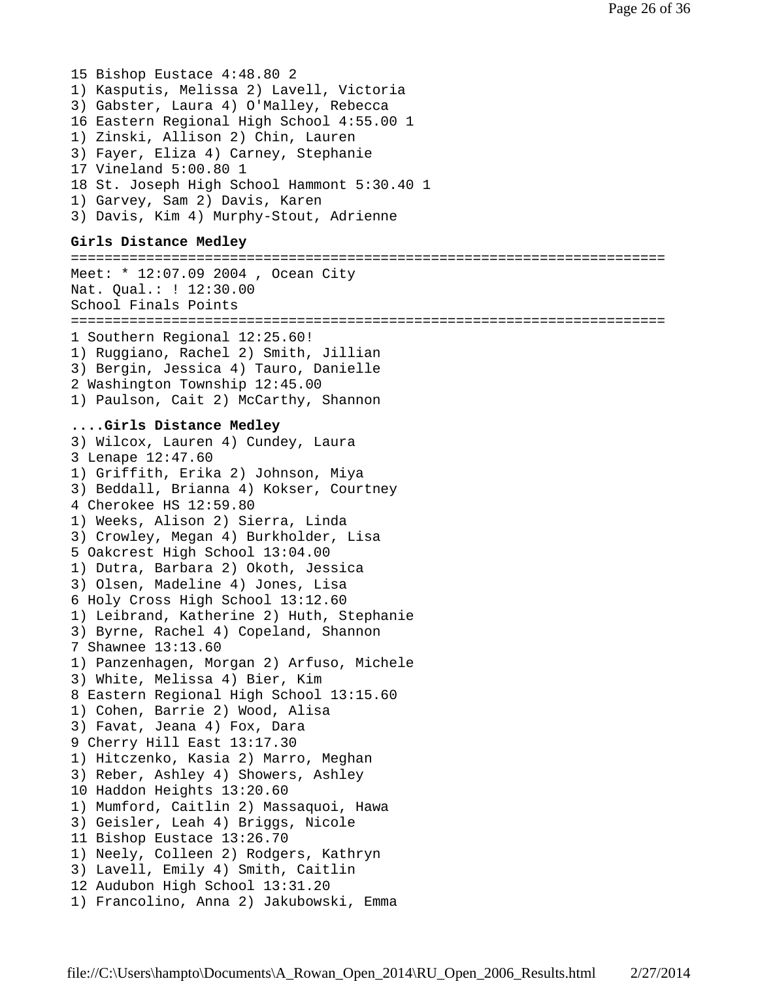15 Bishop Eustace 4:48.80 2 1) Kasputis, Melissa 2) Lavell, Victoria 3) Gabster, Laura 4) O'Malley, Rebecca 16 Eastern Regional High School 4:55.00 1 1) Zinski, Allison 2) Chin, Lauren 3) Fayer, Eliza 4) Carney, Stephanie 17 Vineland 5:00.80 1 18 St. Joseph High School Hammont 5:30.40 1 1) Garvey, Sam 2) Davis, Karen 3) Davis, Kim 4) Murphy-Stout, Adrienne

# **Girls Distance Medley**

======================================================================= Meet: \* 12:07.09 2004 , Ocean City Nat. Qual.: ! 12:30.00 School Finals Points ======================================================================= 1 Southern Regional 12:25.60! 1) Ruggiano, Rachel 2) Smith, Jillian 3) Bergin, Jessica 4) Tauro, Danielle 2 Washington Township 12:45.00 1) Paulson, Cait 2) McCarthy, Shannon **....Girls Distance Medley** 3) Wilcox, Lauren 4) Cundey, Laura 3 Lenape 12:47.60 1) Griffith, Erika 2) Johnson, Miya 3) Beddall, Brianna 4) Kokser, Courtney 4 Cherokee HS 12:59.80 1) Weeks, Alison 2) Sierra, Linda 3) Crowley, Megan 4) Burkholder, Lisa 5 Oakcrest High School 13:04.00 1) Dutra, Barbara 2) Okoth, Jessica 3) Olsen, Madeline 4) Jones, Lisa 6 Holy Cross High School 13:12.60 1) Leibrand, Katherine 2) Huth, Stephanie 3) Byrne, Rachel 4) Copeland, Shannon 7 Shawnee 13:13.60 1) Panzenhagen, Morgan 2) Arfuso, Michele 3) White, Melissa 4) Bier, Kim 8 Eastern Regional High School 13:15.60 1) Cohen, Barrie 2) Wood, Alisa 3) Favat, Jeana 4) Fox, Dara 9 Cherry Hill East 13:17.30 1) Hitczenko, Kasia 2) Marro, Meghan 3) Reber, Ashley 4) Showers, Ashley 10 Haddon Heights 13:20.60 1) Mumford, Caitlin 2) Massaquoi, Hawa 3) Geisler, Leah 4) Briggs, Nicole 11 Bishop Eustace 13:26.70 1) Neely, Colleen 2) Rodgers, Kathryn 3) Lavell, Emily 4) Smith, Caitlin 12 Audubon High School 13:31.20 1) Francolino, Anna 2) Jakubowski, Emma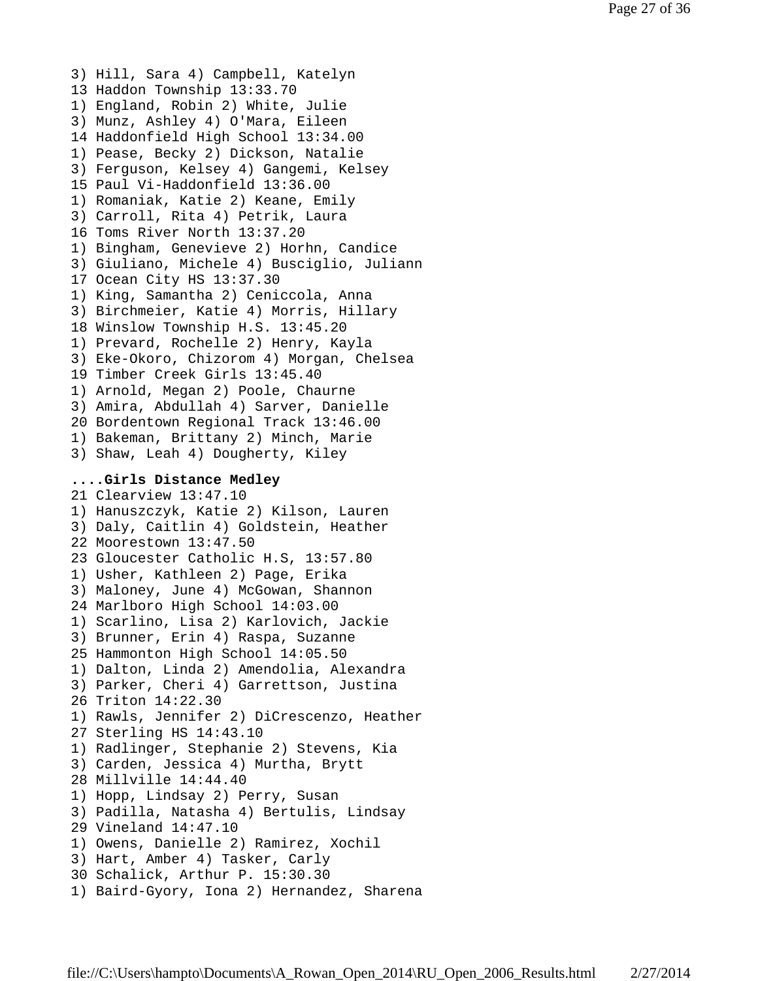3) Hill, Sara 4) Campbell, Katelyn 13 Haddon Township 13:33.70 1) England, Robin 2) White, Julie 3) Munz, Ashley 4) O'Mara, Eileen 14 Haddonfield High School 13:34.00 1) Pease, Becky 2) Dickson, Natalie 3) Ferguson, Kelsey 4) Gangemi, Kelsey 15 Paul Vi-Haddonfield 13:36.00 1) Romaniak, Katie 2) Keane, Emily 3) Carroll, Rita 4) Petrik, Laura 16 Toms River North 13:37.20 1) Bingham, Genevieve 2) Horhn, Candice 3) Giuliano, Michele 4) Busciglio, Juliann 17 Ocean City HS 13:37.30 1) King, Samantha 2) Ceniccola, Anna 3) Birchmeier, Katie 4) Morris, Hillary 18 Winslow Township H.S. 13:45.20 1) Prevard, Rochelle 2) Henry, Kayla 3) Eke-Okoro, Chizorom 4) Morgan, Chelsea 19 Timber Creek Girls 13:45.40 1) Arnold, Megan 2) Poole, Chaurne 3) Amira, Abdullah 4) Sarver, Danielle 20 Bordentown Regional Track 13:46.00 1) Bakeman, Brittany 2) Minch, Marie 3) Shaw, Leah 4) Dougherty, Kiley **....Girls Distance Medley** 21 Clearview 13:47.10 1) Hanuszczyk, Katie 2) Kilson, Lauren 3) Daly, Caitlin 4) Goldstein, Heather 22 Moorestown 13:47.50 23 Gloucester Catholic H.S, 13:57.80 1) Usher, Kathleen 2) Page, Erika 3) Maloney, June 4) McGowan, Shannon 24 Marlboro High School 14:03.00 1) Scarlino, Lisa 2) Karlovich, Jackie 3) Brunner, Erin 4) Raspa, Suzanne 25 Hammonton High School 14:05.50 1) Dalton, Linda 2) Amendolia, Alexandra 3) Parker, Cheri 4) Garrettson, Justina 26 Triton 14:22.30 1) Rawls, Jennifer 2) DiCrescenzo, Heather 27 Sterling HS 14:43.10 1) Radlinger, Stephanie 2) Stevens, Kia 3) Carden, Jessica 4) Murtha, Brytt 28 Millville 14:44.40 1) Hopp, Lindsay 2) Perry, Susan 3) Padilla, Natasha 4) Bertulis, Lindsay 29 Vineland 14:47.10 1) Owens, Danielle 2) Ramirez, Xochil 3) Hart, Amber 4) Tasker, Carly 30 Schalick, Arthur P. 15:30.30 1) Baird-Gyory, Iona 2) Hernandez, Sharena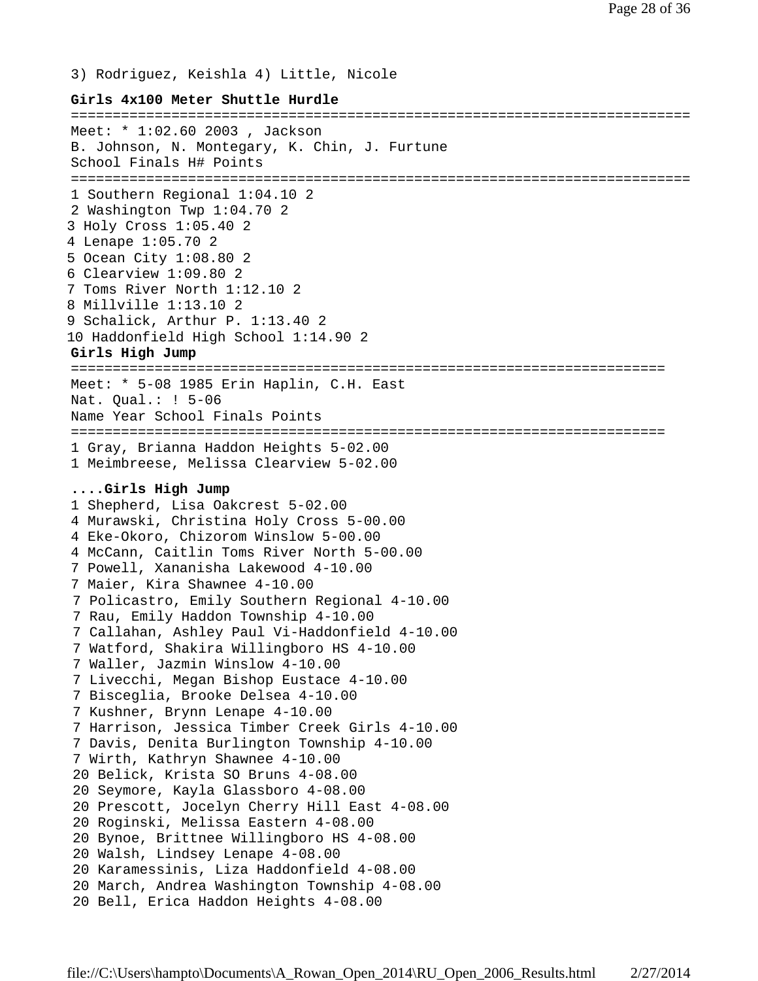3) Rodriguez, Keishla 4) Little, Nicole

#### **Girls 4x100 Meter Shuttle Hurdle**

========================================================================== Meet: \* 1:02.60 2003 , Jackson B. Johnson, N. Montegary, K. Chin, J. Furtune School Finals H# Points ========================================================================== 1 Southern Regional 1:04.10 2 2 Washington Twp 1:04.70 2 3 Holy Cross 1:05.40 2 4 Lenape 1:05.70 2 5 Ocean City 1:08.80 2 6 Clearview 1:09.80 2 7 Toms River North 1:12.10 2 8 Millville 1:13.10 2 9 Schalick, Arthur P. 1:13.40 2 10 Haddonfield High School 1:14.90 2 **Girls High Jump** ======================================================================= Meet: \* 5-08 1985 Erin Haplin, C.H. East Nat. Qual.: ! 5-06 Name Year School Finals Points ======================================================================= 1 Gray, Brianna Haddon Heights 5-02.00 1 Meimbreese, Melissa Clearview 5-02.00 **....Girls High Jump** 1 Shepherd, Lisa Oakcrest 5-02.00 4 Murawski, Christina Holy Cross 5-00.00 4 Eke-Okoro, Chizorom Winslow 5-00.00 4 McCann, Caitlin Toms River North 5-00.00 7 Powell, Xananisha Lakewood 4-10.00 7 Maier, Kira Shawnee 4-10.00 7 Policastro, Emily Southern Regional 4-10.00 7 Rau, Emily Haddon Township 4-10.00 7 Callahan, Ashley Paul Vi-Haddonfield 4-10.00 7 Watford, Shakira Willingboro HS 4-10.00 7 Waller, Jazmin Winslow 4-10.00 7 Livecchi, Megan Bishop Eustace 4-10.00 7 Bisceglia, Brooke Delsea 4-10.00 7 Kushner, Brynn Lenape 4-10.00 7 Harrison, Jessica Timber Creek Girls 4-10.00 7 Davis, Denita Burlington Township 4-10.00 7 Wirth, Kathryn Shawnee 4-10.00 20 Belick, Krista SO Bruns 4-08.00 20 Seymore, Kayla Glassboro 4-08.00 20 Prescott, Jocelyn Cherry Hill East 4-08.00 20 Roginski, Melissa Eastern 4-08.00 20 Bynoe, Brittnee Willingboro HS 4-08.00 20 Walsh, Lindsey Lenape 4-08.00 20 Karamessinis, Liza Haddonfield 4-08.00 20 March, Andrea Washington Township 4-08.00 20 Bell, Erica Haddon Heights 4-08.00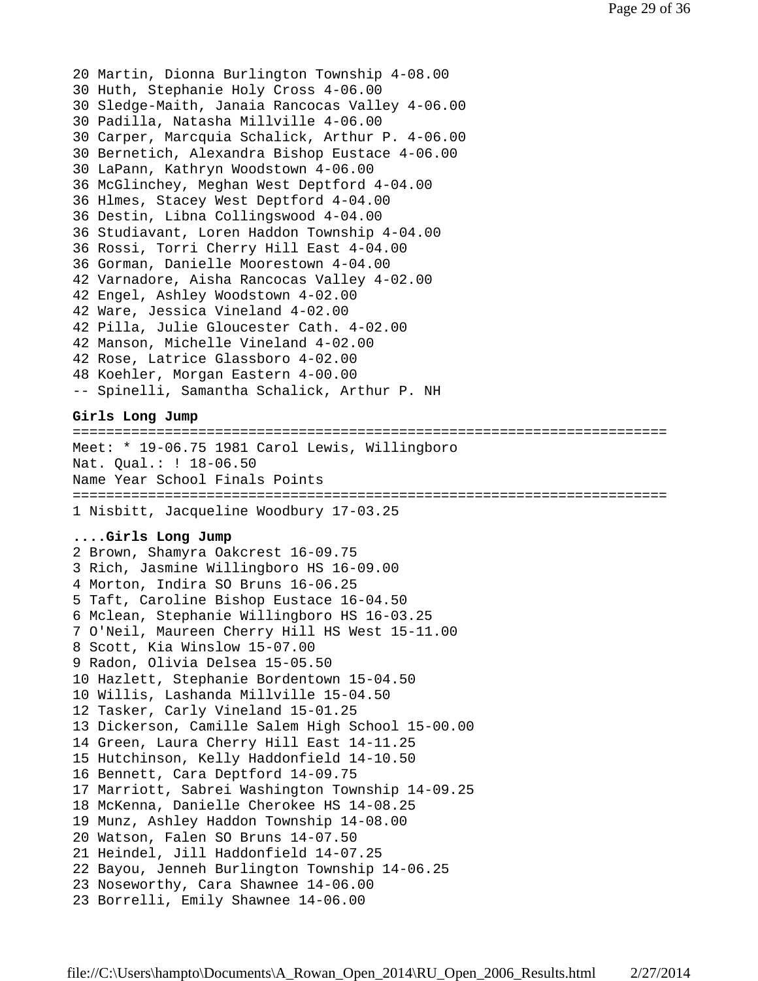```
20 Martin, Dionna Burlington Township 4-08.00
30 Huth, Stephanie Holy Cross 4-06.00
30 Sledge-Maith, Janaia Rancocas Valley 4-06.00
30 Padilla, Natasha Millville 4-06.00
30 Carper, Marcquia Schalick, Arthur P. 4-06.00
30 Bernetich, Alexandra Bishop Eustace 4-06.00
30 LaPann, Kathryn Woodstown 4-06.00
36 McGlinchey, Meghan West Deptford 4-04.00
36 Hlmes, Stacey West Deptford 4-04.00
36 Destin, Libna Collingswood 4-04.00
36 Studiavant, Loren Haddon Township 4-04.00
36 Rossi, Torri Cherry Hill East 4-04.00
36 Gorman, Danielle Moorestown 4-04.00
42 Varnadore, Aisha Rancocas Valley 4-02.00
42 Engel, Ashley Woodstown 4-02.00
42 Ware, Jessica Vineland 4-02.00
42 Pilla, Julie Gloucester Cath. 4-02.00
42 Manson, Michelle Vineland 4-02.00
42 Rose, Latrice Glassboro 4-02.00
48 Koehler, Morgan Eastern 4-00.00
-- Spinelli, Samantha Schalick, Arthur P. NH
Girls Long Jump
=======================================================================
Meet: * 19-06.75 1981 Carol Lewis, Willingboro
Nat. Qual.: ! 18-06.50
Name Year School Finals Points
=======================================================================
1 Nisbitt, Jacqueline Woodbury 17-03.25
....Girls Long Jump
2 Brown, Shamyra Oakcrest 16-09.75
3 Rich, Jasmine Willingboro HS 16-09.00
4 Morton, Indira SO Bruns 16-06.25
5 Taft, Caroline Bishop Eustace 16-04.50
6 Mclean, Stephanie Willingboro HS 16-03.25
7 O'Neil, Maureen Cherry Hill HS West 15-11.00
8 Scott, Kia Winslow 15-07.00
9 Radon, Olivia Delsea 15-05.50
10 Hazlett, Stephanie Bordentown 15-04.50
10 Willis, Lashanda Millville 15-04.50
12 Tasker, Carly Vineland 15-01.25
13 Dickerson, Camille Salem High School 15-00.00
14 Green, Laura Cherry Hill East 14-11.25
15 Hutchinson, Kelly Haddonfield 14-10.50
16 Bennett, Cara Deptford 14-09.75
17 Marriott, Sabrei Washington Township 14-09.25
18 McKenna, Danielle Cherokee HS 14-08.25
19 Munz, Ashley Haddon Township 14-08.00
20 Watson, Falen SO Bruns 14-07.50
21 Heindel, Jill Haddonfield 14-07.25
22 Bayou, Jenneh Burlington Township 14-06.25
23 Noseworthy, Cara Shawnee 14-06.00
```

```
23 Borrelli, Emily Shawnee 14-06.00
```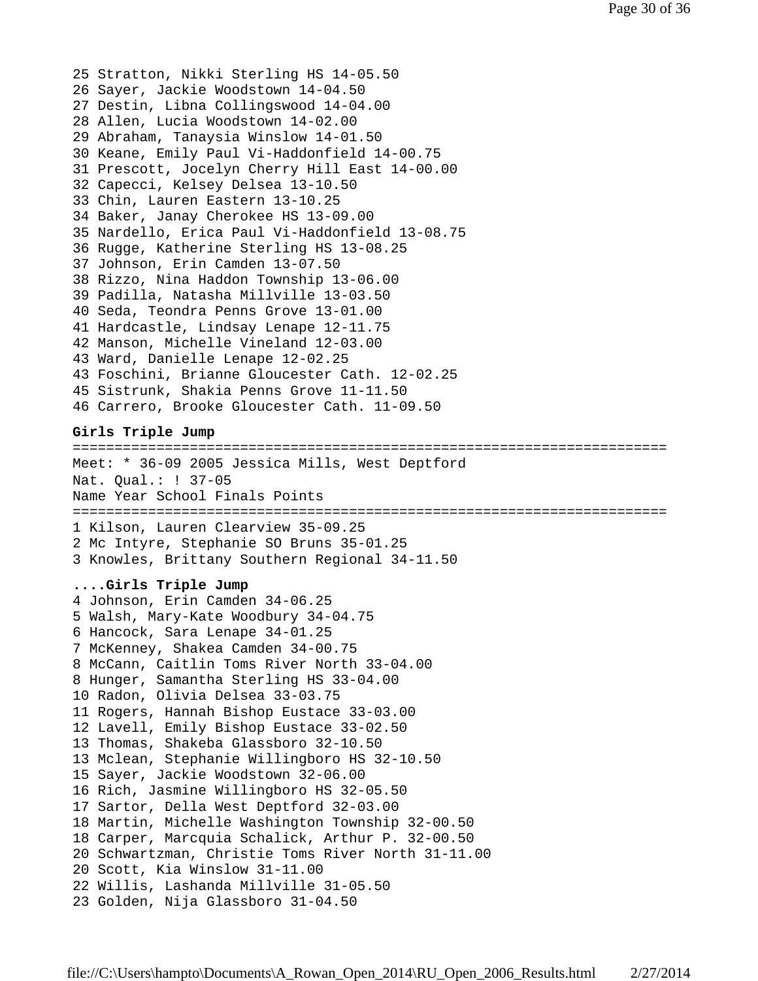25 Stratton, Nikki Sterling HS 14-05.50 26 Sayer, Jackie Woodstown 14-04.50 27 Destin, Libna Collingswood 14-04.00 28 Allen, Lucia Woodstown 14-02.00 29 Abraham, Tanaysia Winslow 14-01.50 30 Keane, Emily Paul Vi-Haddonfield 14-00.75 31 Prescott, Jocelyn Cherry Hill East 14-00.00 32 Capecci, Kelsey Delsea 13-10.50 33 Chin, Lauren Eastern 13-10.25 34 Baker, Janay Cherokee HS 13-09.00 35 Nardello, Erica Paul Vi-Haddonfield 13-08.75 36 Rugge, Katherine Sterling HS 13-08.25 37 Johnson, Erin Camden 13-07.50 38 Rizzo, Nina Haddon Township 13-06.00 39 Padilla, Natasha Millville 13-03.50 40 Seda, Teondra Penns Grove 13-01.00 41 Hardcastle, Lindsay Lenape 12-11.75 42 Manson, Michelle Vineland 12-03.00 43 Ward, Danielle Lenape 12-02.25 43 Foschini, Brianne Gloucester Cath. 12-02.25 45 Sistrunk, Shakia Penns Grove 11-11.50 46 Carrero, Brooke Gloucester Cath. 11-09.50 **Girls Triple Jump** ======================================================================= Meet: \* 36-09 2005 Jessica Mills, West Deptford

Nat. Qual.: ! 37-05 Name Year School Finals Points ======================================================================= 1 Kilson, Lauren Clearview 35-09.25 2 Mc Intyre, Stephanie SO Bruns 35-01.25

3 Knowles, Brittany Southern Regional 34-11.50

### **....Girls Triple Jump**

4 Johnson, Erin Camden 34-06.25 5 Walsh, Mary-Kate Woodbury 34-04.75 6 Hancock, Sara Lenape 34-01.25 7 McKenney, Shakea Camden 34-00.75 8 McCann, Caitlin Toms River North 33-04.00 8 Hunger, Samantha Sterling HS 33-04.00 10 Radon, Olivia Delsea 33-03.75 11 Rogers, Hannah Bishop Eustace 33-03.00 12 Lavell, Emily Bishop Eustace 33-02.50 13 Thomas, Shakeba Glassboro 32-10.50 13 Mclean, Stephanie Willingboro HS 32-10.50 15 Sayer, Jackie Woodstown 32-06.00 16 Rich, Jasmine Willingboro HS 32-05.50 17 Sartor, Della West Deptford 32-03.00 18 Martin, Michelle Washington Township 32-00.50 18 Carper, Marcquia Schalick, Arthur P. 32-00.50 20 Schwartzman, Christie Toms River North 31-11.00 20 Scott, Kia Winslow 31-11.00 22 Willis, Lashanda Millville 31-05.50 23 Golden, Nija Glassboro 31-04.50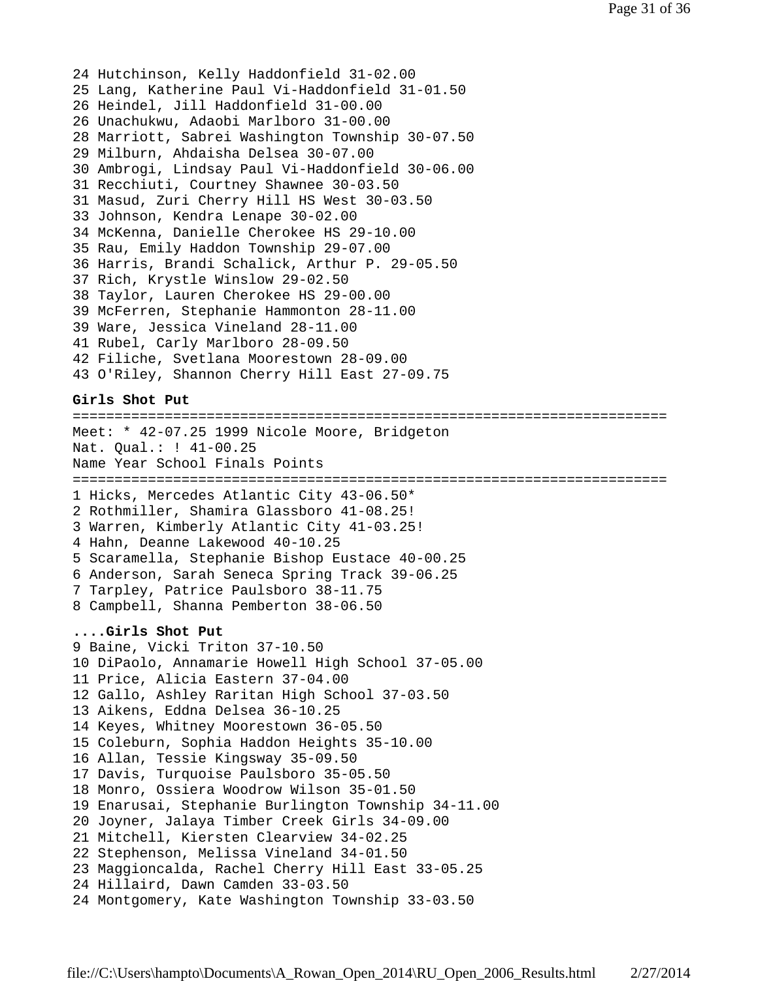24 Hutchinson, Kelly Haddonfield 31-02.00 25 Lang, Katherine Paul Vi-Haddonfield 31-01.50 26 Heindel, Jill Haddonfield 31-00.00 26 Unachukwu, Adaobi Marlboro 31-00.00 28 Marriott, Sabrei Washington Township 30-07.50 29 Milburn, Ahdaisha Delsea 30-07.00 30 Ambrogi, Lindsay Paul Vi-Haddonfield 30-06.00 31 Recchiuti, Courtney Shawnee 30-03.50 31 Masud, Zuri Cherry Hill HS West 30-03.50 33 Johnson, Kendra Lenape 30-02.00 34 McKenna, Danielle Cherokee HS 29-10.00 35 Rau, Emily Haddon Township 29-07.00 36 Harris, Brandi Schalick, Arthur P. 29-05.50 37 Rich, Krystle Winslow 29-02.50 38 Taylor, Lauren Cherokee HS 29-00.00 39 McFerren, Stephanie Hammonton 28-11.00 39 Ware, Jessica Vineland 28-11.00 41 Rubel, Carly Marlboro 28-09.50 42 Filiche, Svetlana Moorestown 28-09.00 43 O'Riley, Shannon Cherry Hill East 27-09.75

### **Girls Shot Put**

======================================================================= Meet: \* 42-07.25 1999 Nicole Moore, Bridgeton Nat. Qual.: ! 41-00.25 Name Year School Finals Points ======================================================================= 1 Hicks, Mercedes Atlantic City 43-06.50\* 2 Rothmiller, Shamira Glassboro 41-08.25! 3 Warren, Kimberly Atlantic City 41-03.25! 4 Hahn, Deanne Lakewood 40-10.25 5 Scaramella, Stephanie Bishop Eustace 40-00.25 6 Anderson, Sarah Seneca Spring Track 39-06.25 7 Tarpley, Patrice Paulsboro 38-11.75 8 Campbell, Shanna Pemberton 38-06.50

# **....Girls Shot Put**

9 Baine, Vicki Triton 37-10.50 10 DiPaolo, Annamarie Howell High School 37-05.00 11 Price, Alicia Eastern 37-04.00 12 Gallo, Ashley Raritan High School 37-03.50 13 Aikens, Eddna Delsea 36-10.25 14 Keyes, Whitney Moorestown 36-05.50 15 Coleburn, Sophia Haddon Heights 35-10.00 16 Allan, Tessie Kingsway 35-09.50 17 Davis, Turquoise Paulsboro 35-05.50 18 Monro, Ossiera Woodrow Wilson 35-01.50 19 Enarusai, Stephanie Burlington Township 34-11.00 20 Joyner, Jalaya Timber Creek Girls 34-09.00 21 Mitchell, Kiersten Clearview 34-02.25 22 Stephenson, Melissa Vineland 34-01.50 23 Maggioncalda, Rachel Cherry Hill East 33-05.25 24 Hillaird, Dawn Camden 33-03.50 24 Montgomery, Kate Washington Township 33-03.50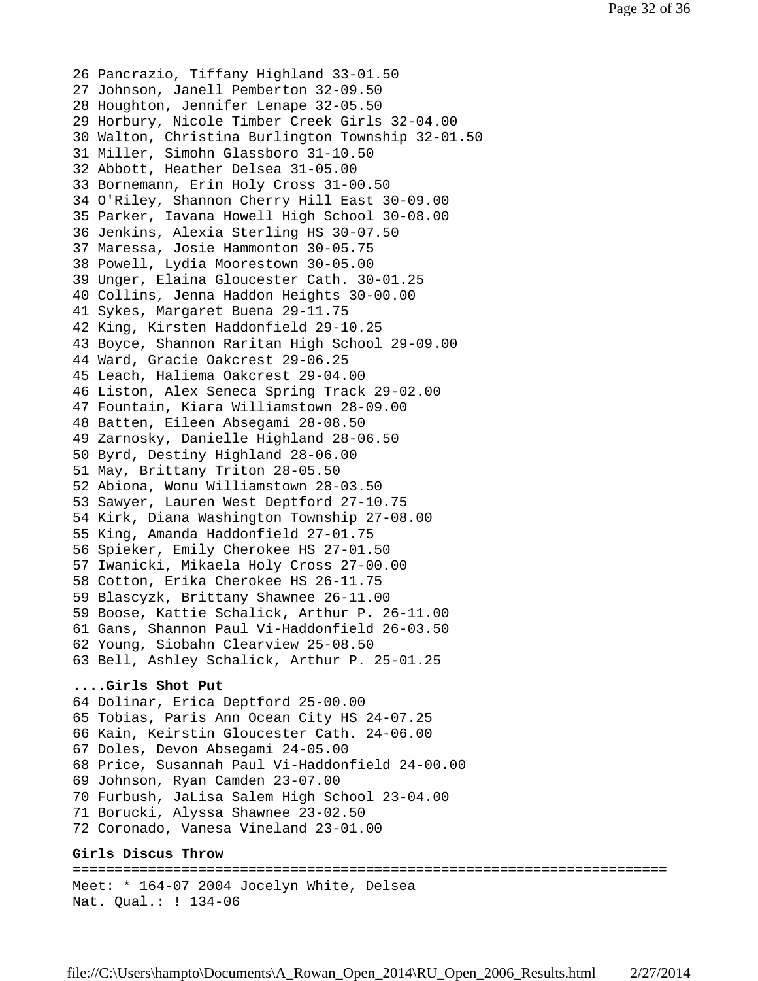26 Pancrazio, Tiffany Highland 33-01.50 27 Johnson, Janell Pemberton 32-09.50 28 Houghton, Jennifer Lenape 32-05.50 29 Horbury, Nicole Timber Creek Girls 32-04.00 30 Walton, Christina Burlington Township 32-01.50 31 Miller, Simohn Glassboro 31-10.50 32 Abbott, Heather Delsea 31-05.00 33 Bornemann, Erin Holy Cross 31-00.50 34 O'Riley, Shannon Cherry Hill East 30-09.00 35 Parker, Iavana Howell High School 30-08.00 36 Jenkins, Alexia Sterling HS 30-07.50 37 Maressa, Josie Hammonton 30-05.75 38 Powell, Lydia Moorestown 30-05.00 39 Unger, Elaina Gloucester Cath. 30-01.25 40 Collins, Jenna Haddon Heights 30-00.00 41 Sykes, Margaret Buena 29-11.75 42 King, Kirsten Haddonfield 29-10.25 43 Boyce, Shannon Raritan High School 29-09.00 44 Ward, Gracie Oakcrest 29-06.25 45 Leach, Haliema Oakcrest 29-04.00 46 Liston, Alex Seneca Spring Track 29-02.00 47 Fountain, Kiara Williamstown 28-09.00 48 Batten, Eileen Absegami 28-08.50 49 Zarnosky, Danielle Highland 28-06.50 50 Byrd, Destiny Highland 28-06.00 51 May, Brittany Triton 28-05.50 52 Abiona, Wonu Williamstown 28-03.50 53 Sawyer, Lauren West Deptford 27-10.75 54 Kirk, Diana Washington Township 27-08.00 55 King, Amanda Haddonfield 27-01.75 56 Spieker, Emily Cherokee HS 27-01.50 57 Iwanicki, Mikaela Holy Cross 27-00.00 58 Cotton, Erika Cherokee HS 26-11.75 59 Blascyzk, Brittany Shawnee 26-11.00 59 Boose, Kattie Schalick, Arthur P. 26-11.00 61 Gans, Shannon Paul Vi-Haddonfield 26-03.50 62 Young, Siobahn Clearview 25-08.50 63 Bell, Ashley Schalick, Arthur P. 25-01.25 **....Girls Shot Put** 64 Dolinar, Erica Deptford 25-00.00 65 Tobias, Paris Ann Ocean City HS 24-07.25 66 Kain, Keirstin Gloucester Cath. 24-06.00 67 Doles, Devon Absegami 24-05.00 68 Price, Susannah Paul Vi-Haddonfield 24-00.00 69 Johnson, Ryan Camden 23-07.00 70 Furbush, JaLisa Salem High School 23-04.00 71 Borucki, Alyssa Shawnee 23-02.50 72 Coronado, Vanesa Vineland 23-01.00

#### **Girls Discus Throw**

======================================================================= Meet: \* 164-07 2004 Jocelyn White, Delsea Nat. Qual.: ! 134-06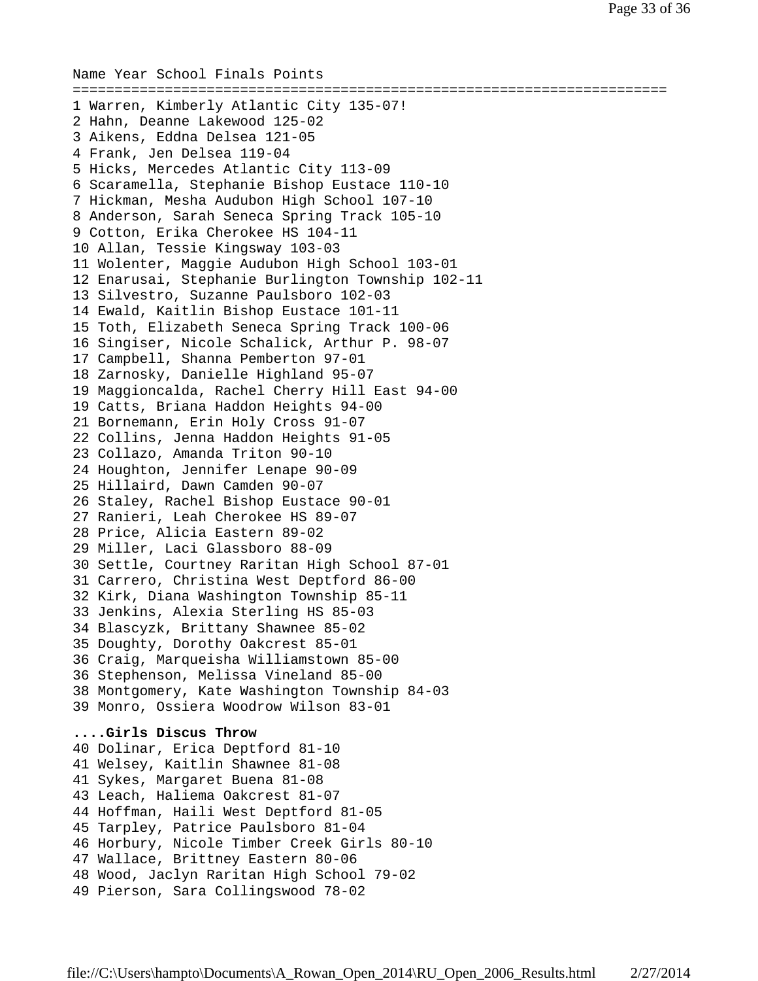```
Name Year School Finals Points
=======================================================================
1 Warren, Kimberly Atlantic City 135-07!
2 Hahn, Deanne Lakewood 125-02
3 Aikens, Eddna Delsea 121-05
4 Frank, Jen Delsea 119-04
5 Hicks, Mercedes Atlantic City 113-09
6 Scaramella, Stephanie Bishop Eustace 110-10
7 Hickman, Mesha Audubon High School 107-10
8 Anderson, Sarah Seneca Spring Track 105-10
9 Cotton, Erika Cherokee HS 104-11
10 Allan, Tessie Kingsway 103-03
11 Wolenter, Maggie Audubon High School 103-01
12 Enarusai, Stephanie Burlington Township 102-11
13 Silvestro, Suzanne Paulsboro 102-03
14 Ewald, Kaitlin Bishop Eustace 101-11
15 Toth, Elizabeth Seneca Spring Track 100-06
16 Singiser, Nicole Schalick, Arthur P. 98-07
17 Campbell, Shanna Pemberton 97-01
18 Zarnosky, Danielle Highland 95-07
19 Maggioncalda, Rachel Cherry Hill East 94-00
19 Catts, Briana Haddon Heights 94-00
21 Bornemann, Erin Holy Cross 91-07
22 Collins, Jenna Haddon Heights 91-05
23 Collazo, Amanda Triton 90-10
24 Houghton, Jennifer Lenape 90-09
25 Hillaird, Dawn Camden 90-07
26 Staley, Rachel Bishop Eustace 90-01
27 Ranieri, Leah Cherokee HS 89-07
28 Price, Alicia Eastern 89-02
29 Miller, Laci Glassboro 88-09
30 Settle, Courtney Raritan High School 87-01
31 Carrero, Christina West Deptford 86-00
32 Kirk, Diana Washington Township 85-11
33 Jenkins, Alexia Sterling HS 85-03
34 Blascyzk, Brittany Shawnee 85-02
35 Doughty, Dorothy Oakcrest 85-01
36 Craig, Marqueisha Williamstown 85-00
36 Stephenson, Melissa Vineland 85-00
38 Montgomery, Kate Washington Township 84-03
39 Monro, Ossiera Woodrow Wilson 83-01
....Girls Discus Throw
40 Dolinar, Erica Deptford 81-10
41 Welsey, Kaitlin Shawnee 81-08
41 Sykes, Margaret Buena 81-08
43 Leach, Haliema Oakcrest 81-07
44 Hoffman, Haili West Deptford 81-05
45 Tarpley, Patrice Paulsboro 81-04
46 Horbury, Nicole Timber Creek Girls 80-10
47 Wallace, Brittney Eastern 80-06
48 Wood, Jaclyn Raritan High School 79-02
49 Pierson, Sara Collingswood 78-02
```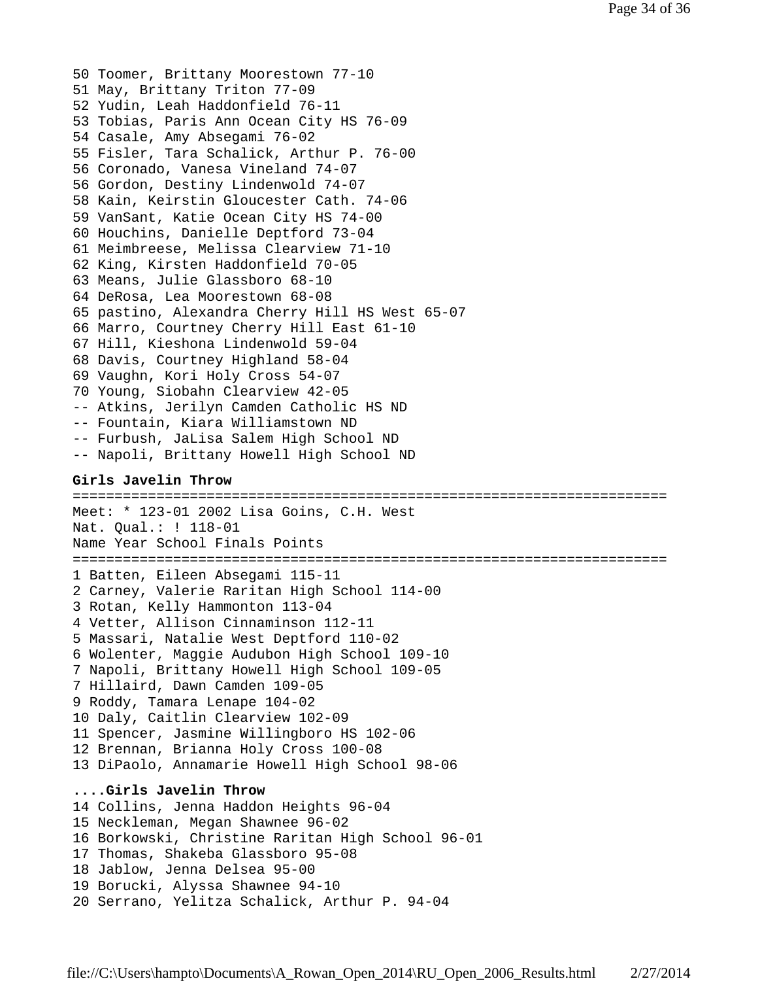50 Toomer, Brittany Moorestown 77-10 51 May, Brittany Triton 77-09 52 Yudin, Leah Haddonfield 76-11 53 Tobias, Paris Ann Ocean City HS 76-09 54 Casale, Amy Absegami 76-02 55 Fisler, Tara Schalick, Arthur P. 76-00 56 Coronado, Vanesa Vineland 74-07 56 Gordon, Destiny Lindenwold 74-07 58 Kain, Keirstin Gloucester Cath. 74-06 59 VanSant, Katie Ocean City HS 74-00 60 Houchins, Danielle Deptford 73-04 61 Meimbreese, Melissa Clearview 71-10 62 King, Kirsten Haddonfield 70-05 63 Means, Julie Glassboro 68-10 64 DeRosa, Lea Moorestown 68-08 65 pastino, Alexandra Cherry Hill HS West 65-07 66 Marro, Courtney Cherry Hill East 61-10 67 Hill, Kieshona Lindenwold 59-04 68 Davis, Courtney Highland 58-04 69 Vaughn, Kori Holy Cross 54-07 70 Young, Siobahn Clearview 42-05 -- Atkins, Jerilyn Camden Catholic HS ND -- Fountain, Kiara Williamstown ND -- Furbush, JaLisa Salem High School ND -- Napoli, Brittany Howell High School ND

#### **Girls Javelin Throw**

======================================================================= Meet: \* 123-01 2002 Lisa Goins, C.H. West Nat. Qual.: ! 118-01 Name Year School Finals Points ======================================================================= 1 Batten, Eileen Absegami 115-11 2 Carney, Valerie Raritan High School 114-00 3 Rotan, Kelly Hammonton 113-04 4 Vetter, Allison Cinnaminson 112-11 5 Massari, Natalie West Deptford 110-02 6 Wolenter, Maggie Audubon High School 109-10 7 Napoli, Brittany Howell High School 109-05 7 Hillaird, Dawn Camden 109-05 9 Roddy, Tamara Lenape 104-02 10 Daly, Caitlin Clearview 102-09 11 Spencer, Jasmine Willingboro HS 102-06 12 Brennan, Brianna Holy Cross 100-08 13 DiPaolo, Annamarie Howell High School 98-06 **....Girls Javelin Throw** 14 Collins, Jenna Haddon Heights 96-04 15 Neckleman, Megan Shawnee 96-02 16 Borkowski, Christine Raritan High School 96-01 17 Thomas, Shakeba Glassboro 95-08 18 Jablow, Jenna Delsea 95-00 19 Borucki, Alyssa Shawnee 94-10 20 Serrano, Yelitza Schalick, Arthur P. 94-04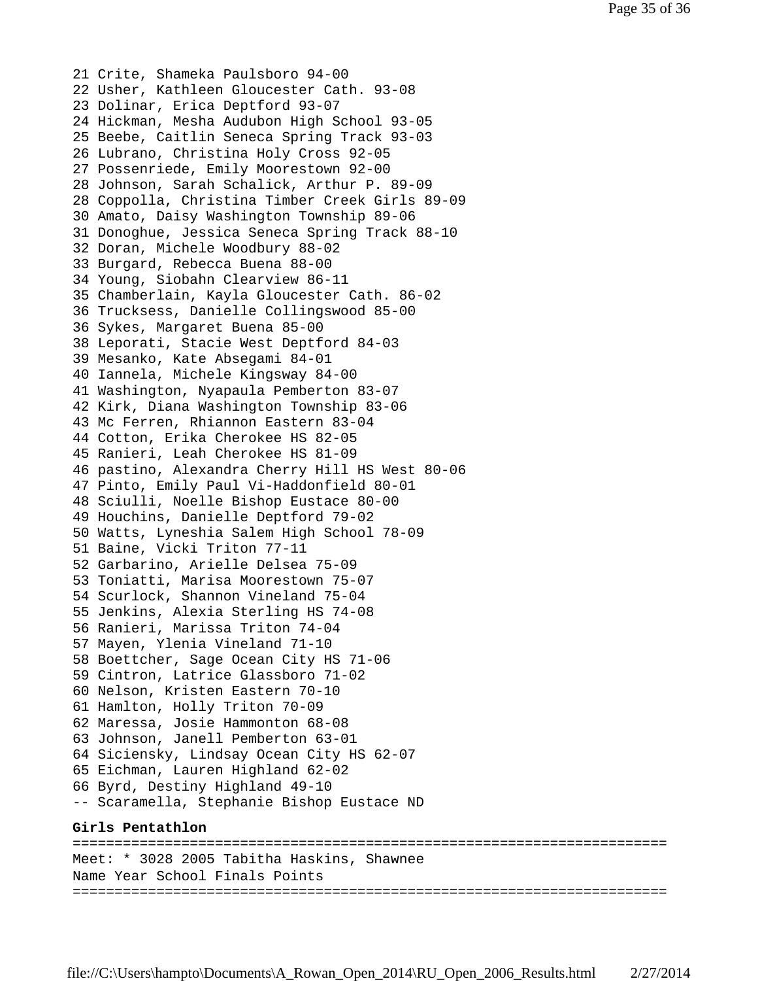21 Crite, Shameka Paulsboro 94-00 22 Usher, Kathleen Gloucester Cath. 93-08 23 Dolinar, Erica Deptford 93-07 24 Hickman, Mesha Audubon High School 93-05 25 Beebe, Caitlin Seneca Spring Track 93-03 26 Lubrano, Christina Holy Cross 92-05 27 Possenriede, Emily Moorestown 92-00 28 Johnson, Sarah Schalick, Arthur P. 89-09 28 Coppolla, Christina Timber Creek Girls 89-09 30 Amato, Daisy Washington Township 89-06 31 Donoghue, Jessica Seneca Spring Track 88-10 32 Doran, Michele Woodbury 88-02 33 Burgard, Rebecca Buena 88-00 34 Young, Siobahn Clearview 86-11 35 Chamberlain, Kayla Gloucester Cath. 86-02 36 Trucksess, Danielle Collingswood 85-00 36 Sykes, Margaret Buena 85-00 38 Leporati, Stacie West Deptford 84-03 39 Mesanko, Kate Absegami 84-01 40 Iannela, Michele Kingsway 84-00 41 Washington, Nyapaula Pemberton 83-07 42 Kirk, Diana Washington Township 83-06 43 Mc Ferren, Rhiannon Eastern 83-04 44 Cotton, Erika Cherokee HS 82-05 45 Ranieri, Leah Cherokee HS 81-09 46 pastino, Alexandra Cherry Hill HS West 80-06 47 Pinto, Emily Paul Vi-Haddonfield 80-01 48 Sciulli, Noelle Bishop Eustace 80-00 49 Houchins, Danielle Deptford 79-02 50 Watts, Lyneshia Salem High School 78-09 51 Baine, Vicki Triton 77-11 52 Garbarino, Arielle Delsea 75-09 53 Toniatti, Marisa Moorestown 75-07 54 Scurlock, Shannon Vineland 75-04 55 Jenkins, Alexia Sterling HS 74-08 56 Ranieri, Marissa Triton 74-04 57 Mayen, Ylenia Vineland 71-10 58 Boettcher, Sage Ocean City HS 71-06 59 Cintron, Latrice Glassboro 71-02 60 Nelson, Kristen Eastern 70-10 61 Hamlton, Holly Triton 70-09 62 Maressa, Josie Hammonton 68-08 63 Johnson, Janell Pemberton 63-01 64 Siciensky, Lindsay Ocean City HS 62-07 65 Eichman, Lauren Highland 62-02 66 Byrd, Destiny Highland 49-10 -- Scaramella, Stephanie Bishop Eustace ND **Girls Pentathlon**

======================================================================= Meet: \* 3028 2005 Tabitha Haskins, Shawnee Name Year School Finals Points =======================================================================